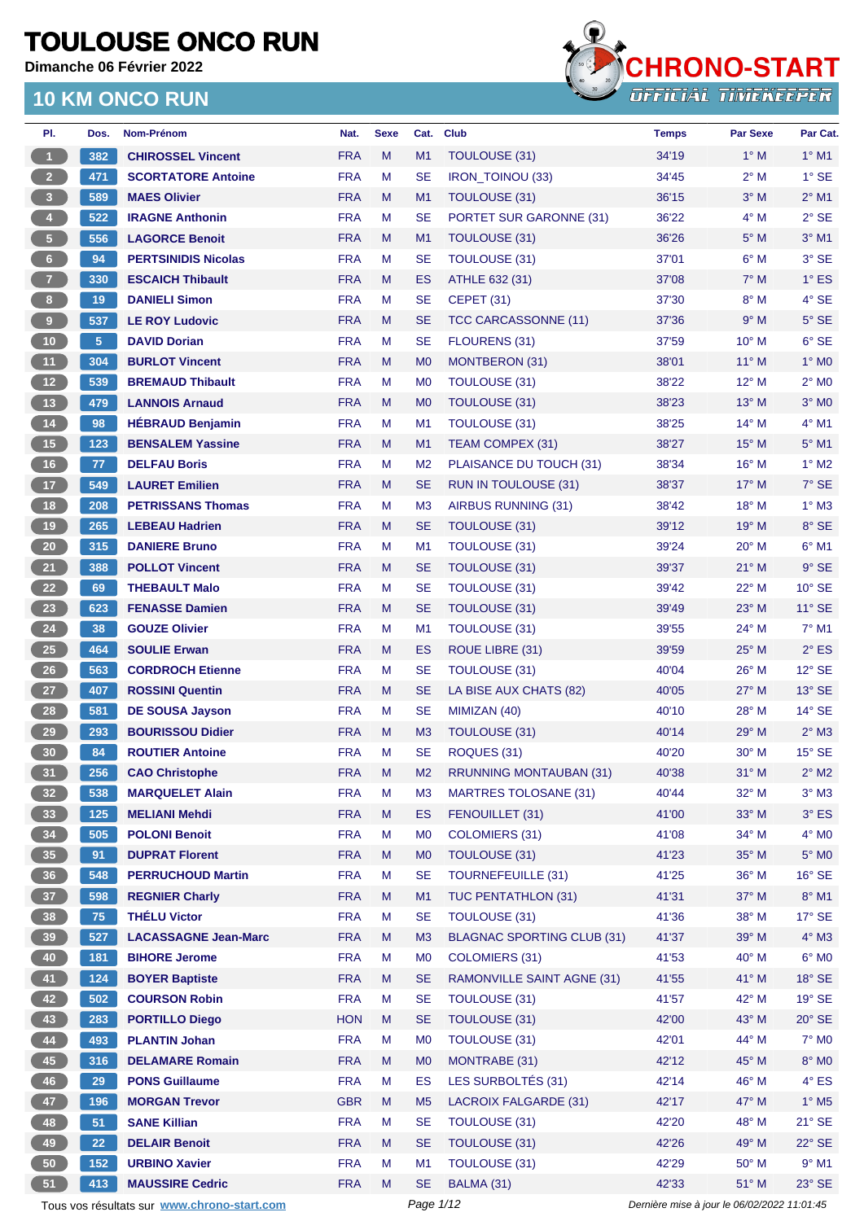**Dimanche 06 Février 2022**



| PI.                     | Dos.            | Nom-Prénom                                  | Nat.       | <b>Sexe</b> | Cat.           | Club                              | <b>Temps</b>                                | Par Sexe       | Par Cat.        |
|-------------------------|-----------------|---------------------------------------------|------------|-------------|----------------|-----------------------------------|---------------------------------------------|----------------|-----------------|
| $\mathbf{1}$            | 382             | <b>CHIROSSEL Vincent</b>                    | <b>FRA</b> | M           | M1             | <b>TOULOUSE (31)</b>              | 34'19                                       | $1^\circ$ M    | $1^\circ$ M1    |
| $2^{\circ}$             | 471             | <b>SCORTATORE Antoine</b>                   | <b>FRA</b> | М           | <b>SE</b>      | <b>IRON_TOINOU (33)</b>           | 34'45                                       | $2^{\circ}$ M  | $1^\circ$ SE    |
| $\overline{\mathbf{3}}$ | 589             | <b>MAES Olivier</b>                         | <b>FRA</b> | M           | M1             | <b>TOULOUSE (31)</b>              | 36'15                                       | $3^\circ$ M    | $2^{\circ}$ M1  |
| 4 <sup>1</sup>          | 522             | <b>IRAGNE Anthonin</b>                      | <b>FRA</b> | М           | <b>SE</b>      | PORTET SUR GARONNE (31)           | 36'22                                       | $4^\circ$ M    | $2°$ SE         |
| $\sqrt{5}$              | 556             | <b>LAGORCE Benoit</b>                       | <b>FRA</b> | M           | M1             | TOULOUSE (31)                     | 36'26                                       | $5^\circ$ M    | $3°$ M1         |
| $6\phantom{a}$          | 94              | <b>PERTSINIDIS Nicolas</b>                  | <b>FRA</b> | М           | <b>SE</b>      | <b>TOULOUSE (31)</b>              | 37'01                                       | $6^\circ$ M    | 3° SE           |
| 7 <sup>2</sup>          | 330             | <b>ESCAICH Thibault</b>                     | <b>FRA</b> | M           | <b>ES</b>      | ATHLE 632 (31)                    | 37'08                                       | $7^\circ$ M    | $1^\circ$ ES    |
| $\boldsymbol{8}$        | 19              | <b>DANIELI Simon</b>                        | <b>FRA</b> | М           | <b>SE</b>      | <b>CEPET (31)</b>                 | 37'30                                       | $8^\circ$ M    | $4^\circ$ SE    |
| 9                       | 537             | <b>LE ROY Ludovic</b>                       | <b>FRA</b> | M           | <b>SE</b>      | <b>TCC CARCASSONNE (11)</b>       | 37'36                                       | 9° M           | $5^\circ$ SE    |
| $10$                    | 5 <sup>5</sup>  | <b>DAVID Dorian</b>                         | <b>FRA</b> | М           | <b>SE</b>      | FLOURENS (31)                     | 37'59                                       | 10° M          | $6^{\circ}$ SE  |
| 11                      | 304             | <b>BURLOT Vincent</b>                       | <b>FRA</b> | M           | M <sub>0</sub> | MONTBERON (31)                    | 38'01                                       | $11^{\circ}$ M | $1^\circ$ MO    |
| 12 <sub>2</sub>         | 539             | <b>BREMAUD Thibault</b>                     | <b>FRA</b> | М           | M <sub>0</sub> | <b>TOULOUSE (31)</b>              | 38'22                                       | $12^{\circ}$ M | $2^\circ$ MO    |
| 13                      | 479             | <b>LANNOIS Arnaud</b>                       | <b>FRA</b> | M           | M <sub>0</sub> | TOULOUSE (31)                     | 38'23                                       | $13^\circ$ M   | $3°$ MO         |
| $14$                    | 98              | <b>HÉBRAUD Benjamin</b>                     | <b>FRA</b> | М           | M <sub>1</sub> | <b>TOULOUSE (31)</b>              | 38'25                                       | 14° M          | 4° M1           |
| $15$                    | 123             | <b>BENSALEM Yassine</b>                     | <b>FRA</b> | M           | M1             | TEAM COMPEX (31)                  | 38'27                                       | $15^{\circ}$ M | $5^\circ$ M1    |
| 16                      | 77              | <b>DELFAU Boris</b>                         | <b>FRA</b> | м           | M <sub>2</sub> | PLAISANCE DU TOUCH (31)           | 38'34                                       | $16^{\circ}$ M | $1^\circ$ M2    |
| 17 <sub>2</sub>         | 549             | <b>LAURET Emilien</b>                       | <b>FRA</b> | M           | <b>SE</b>      | <b>RUN IN TOULOUSE (31)</b>       | 38'37                                       | $17^\circ$ M   | $7°$ SE         |
| 18                      | 208             | <b>PETRISSANS Thomas</b>                    | <b>FRA</b> | М           | M <sub>3</sub> | AIRBUS RUNNING (31)               | 38'42                                       | 18° M          | $1^\circ$ M3    |
| $19$                    | 265             | <b>LEBEAU Hadrien</b>                       | <b>FRA</b> | M           | <b>SE</b>      | TOULOUSE (31)                     | 39'12                                       | 19° M          | 8° SE           |
| 20                      | 315             | <b>DANIERE Bruno</b>                        | <b>FRA</b> | М           | M <sub>1</sub> | <b>TOULOUSE (31)</b>              | 39'24                                       | $20^{\circ}$ M | $6^{\circ}$ M1  |
| 21                      | 388             | <b>POLLOT Vincent</b>                       | <b>FRA</b> | M           | <b>SE</b>      | <b>TOULOUSE (31)</b>              | 39'37                                       | $21^{\circ}$ M | $9°$ SE         |
| 22                      | 69              | <b>THEBAULT Malo</b>                        | <b>FRA</b> | М           | <b>SE</b>      | TOULOUSE (31)                     | 39'42                                       | $22^{\circ}$ M | $10^{\circ}$ SE |
| 23                      | 623             | <b>FENASSE Damien</b>                       | <b>FRA</b> | M           | <b>SE</b>      | <b>TOULOUSE (31)</b>              | 39'49                                       | $23^\circ$ M   | $11^{\circ}$ SE |
| 24                      | 38              | <b>GOUZE Olivier</b>                        | <b>FRA</b> | М           | M1             | TOULOUSE (31)                     | 39'55                                       | 24° M          | $7^\circ$ M1    |
| 25                      | 464             | <b>SOULIE Erwan</b>                         | <b>FRA</b> | M           | <b>ES</b>      | ROUE LIBRE (31)                   | 39'59                                       | $25^{\circ}$ M | $2^{\circ}$ ES  |
| 26                      | 563             | <b>CORDROCH Etienne</b>                     | <b>FRA</b> | М           | <b>SE</b>      | TOULOUSE (31)                     | 40'04                                       | $26^{\circ}$ M | $12^{\circ}$ SE |
| 27                      | 407             | <b>ROSSINI Quentin</b>                      | <b>FRA</b> | M           | <b>SE</b>      | LA BISE AUX CHATS (82)            | 40'05                                       | $27^\circ$ M   | $13^\circ$ SE   |
| 28                      | 581             | <b>DE SOUSA Jayson</b>                      | <b>FRA</b> | М           | <b>SE</b>      | MIMIZAN (40)                      | 40'10                                       | $28^{\circ}$ M | $14^{\circ}$ SE |
| 29                      | 293             | <b>BOURISSOU Didier</b>                     | <b>FRA</b> | M           | M3             | TOULOUSE (31)                     | 40'14                                       | 29° M          | $2^\circ$ M3    |
| 30                      | 84              | <b>ROUTIER Antoine</b>                      | <b>FRA</b> | м           | <b>SE</b>      | ROQUES (31)                       | 40'20                                       | 30° M          | $15^\circ$ SE   |
| 31                      | 256             | <b>CAO Christophe</b>                       | <b>FRA</b> | M           | M <sub>2</sub> | <b>RRUNNING MONTAUBAN (31)</b>    | 40'38                                       | $31^\circ$ M   | $2^\circ$ M2    |
| 32 <sub>2</sub>         | 538             | <b>MARQUELET Alain</b>                      | <b>FRA</b> | M           | M3             | <b>MARTRES TOLOSANE (31)</b>      | 40'44                                       | 32° M          | $3^\circ$ M3    |
| 33                      | 125             | <b>MELIANI Mehdi</b>                        | <b>FRA</b> | M           | <b>ES</b>      | FENOUILLET (31)                   | 41'00                                       | 33° M          | $3^\circ$ ES    |
| 34                      | 505             | <b>POLONI Benoit</b>                        | <b>FRA</b> | M           | M <sub>0</sub> | <b>COLOMIERS (31)</b>             | 41'08                                       | 34° M          | $4^\circ$ MO    |
| 35                      | 91              | <b>DUPRAT Florent</b>                       | <b>FRA</b> | M           | M <sub>0</sub> | TOULOUSE (31)                     | 41'23                                       | 35° M          | $5^\circ$ MO    |
| 36                      | 548             | <b>PERRUCHOUD Martin</b>                    | <b>FRA</b> | M           | <b>SE</b>      | <b>TOURNEFEUILLE (31)</b>         | 41'25                                       | 36° M          | $16^\circ$ SE   |
| 37 <sup>°</sup>         | 598             | <b>REGNIER Charly</b>                       | <b>FRA</b> | M           | M1             | TUC PENTATHLON (31)               | 41'31                                       | 37° M          | $8^{\circ}$ M1  |
| 38                      | 75              | <b>THÉLU Victor</b>                         | <b>FRA</b> | M           | <b>SE</b>      | TOULOUSE (31)                     | 41'36                                       | 38° M          | 17° SE          |
| $39$                    | 527             | <b>LACASSAGNE Jean-Marc</b>                 | <b>FRA</b> | M           | M3             | <b>BLAGNAC SPORTING CLUB (31)</b> | 41'37                                       | 39° M          | $4^\circ$ M3    |
| 40                      | 181             | <b>BIHORE Jerome</b>                        | <b>FRA</b> | М           | M <sub>0</sub> | <b>COLOMIERS (31)</b>             | 41'53                                       | 40° M          | $6^{\circ}$ MO  |
| 41                      | $124$           | <b>BOYER Baptiste</b>                       | <b>FRA</b> | M           | <b>SE</b>      | RAMONVILLE SAINT AGNE (31)        | 41'55                                       | 41° M          | $18^\circ$ SE   |
| 42                      | 502             | <b>COURSON Robin</b>                        | <b>FRA</b> | М           | <b>SE</b>      | TOULOUSE (31)                     | 41'57                                       | 42° M          | $19°$ SE        |
| 43                      | 283             | <b>PORTILLO Diego</b>                       | <b>HON</b> | M           | <b>SE</b>      | TOULOUSE (31)                     | 42'00                                       | 43° M          | 20° SE          |
|                         | 493             | <b>PLANTIN Johan</b>                        | <b>FRA</b> | M           | M <sub>0</sub> | TOULOUSE (31)                     | 42'01                                       | 44° M          | $7^\circ$ MO    |
| 44<br>45                | 316             | <b>DELAMARE Romain</b>                      | <b>FRA</b> | M           | M <sub>0</sub> | MONTRABE (31)                     | 42'12                                       | 45° M          | $8^\circ$ MO    |
|                         |                 | <b>PONS Guillaume</b>                       | <b>FRA</b> | M           | <b>ES</b>      | LES SURBOLTÉS (31)                | 42'14                                       | 46° M          | $4^{\circ}$ ES  |
| 46                      | 29              |                                             |            |             |                |                                   |                                             |                |                 |
| 47                      | 196             | <b>MORGAN Trevor</b>                        | <b>GBR</b> | M           | M <sub>5</sub> | <b>LACROIX FALGARDE (31)</b>      | 42'17                                       | 47° M          | $1^\circ$ M5    |
| 48                      | 51              | <b>SANE Killian</b>                         | <b>FRA</b> | M           | <b>SE</b>      | TOULOUSE (31)                     | 42'20                                       | 48° M          | $21^\circ$ SE   |
| 49                      | 22 <sub>2</sub> | <b>DELAIR Benoit</b>                        | <b>FRA</b> | M           | <b>SE</b>      | TOULOUSE (31)                     | 42'26                                       | 49° M          | $22^{\circ}$ SE |
| ${\bf 50}$              | 152             | <b>URBINO Xavier</b>                        | <b>FRA</b> | М           | M1             | TOULOUSE (31)                     | 42'29                                       | 50° M          | $9^\circ$ M1    |
| 51                      | 413             | <b>MAUSSIRE Cedric</b>                      | <b>FRA</b> | M           | <b>SE</b>      | BALMA (31)                        | 42'33                                       | 51° M          | 23° SE          |
|                         |                 | Tous vos résultats sur www.chrono-start.com |            |             | Page 1/12      |                                   | Dernière mise à jour le 06/02/2022 11:01:45 |                |                 |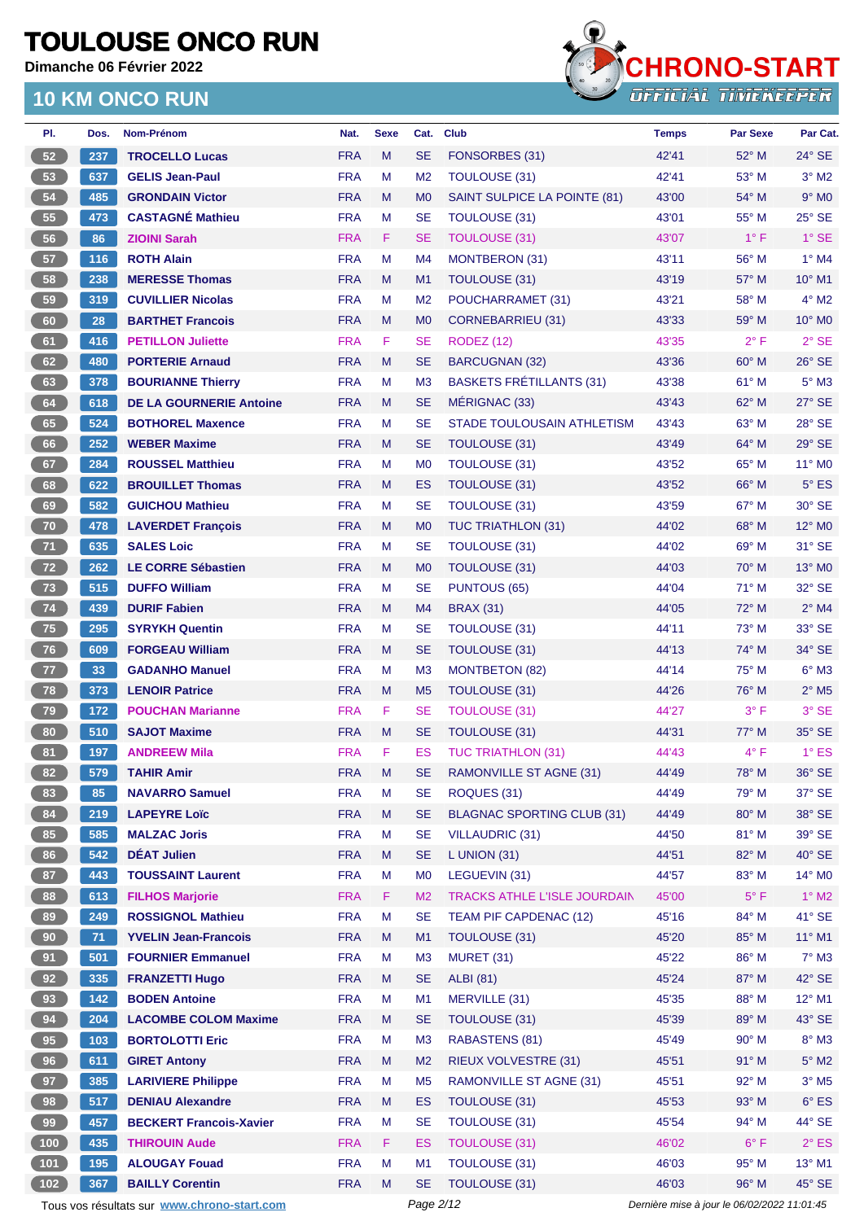**Dimanche 06 Février 2022**



| PI.             | Dos. | Nom-Prénom                                  | Nat.       | <b>Sexe</b> | Cat.           | <b>Club</b>                         | <b>Temps</b>                                | <b>Par Sexe</b> | Par Cat.                   |
|-----------------|------|---------------------------------------------|------------|-------------|----------------|-------------------------------------|---------------------------------------------|-----------------|----------------------------|
| 52              | 237  | <b>TROCELLO Lucas</b>                       | <b>FRA</b> | M           | <b>SE</b>      | FONSORBES (31)                      | 42'41                                       | 52° M           | $24^{\circ}$ SE            |
| 53              | 637  | <b>GELIS Jean-Paul</b>                      | <b>FRA</b> | М           | M <sub>2</sub> | TOULOUSE (31)                       | 42'41                                       | 53° M           | $3°$ M2                    |
| 54              | 485  | <b>GRONDAIN Victor</b>                      | <b>FRA</b> | M           | M <sub>0</sub> | SAINT SULPICE LA POINTE (81)        | 43'00                                       | 54° M           | $9°$ M <sub>0</sub>        |
| 55              | 473  | <b>CASTAGNÉ Mathieu</b>                     | <b>FRA</b> | М           | <b>SE</b>      | TOULOUSE (31)                       | 43'01                                       | $55^{\circ}$ M  | $25^\circ$ SE              |
| 56              | 86   | <b>ZIOINI Sarah</b>                         | <b>FRA</b> | F.          | <b>SE</b>      | <b>TOULOUSE (31)</b>                | 43'07                                       | $1^{\circ}$ F   | $1^\circ$ SE               |
| 57              | 116  | <b>ROTH Alain</b>                           | <b>FRA</b> | M           | M4             | <b>MONTBERON (31)</b>               | 43'11                                       | 56° M           | $1^\circ$ M4               |
| 58              | 238  | <b>MERESSE Thomas</b>                       | <b>FRA</b> | M           | M <sub>1</sub> | <b>TOULOUSE (31)</b>                | 43'19                                       | 57° M           | 10° M1                     |
| 59              | 319  | <b>CUVILLIER Nicolas</b>                    | <b>FRA</b> | М           | M <sub>2</sub> | POUCHARRAMET (31)                   | 43'21                                       | 58° M           | $4^\circ$ M2               |
| 60              | 28   | <b>BARTHET Francois</b>                     | <b>FRA</b> | M           | M <sub>0</sub> | <b>CORNEBARRIEU (31)</b>            | 43'33                                       | 59° M           | $10^{\circ}$ MO            |
| 61              | 416  | <b>PETILLON Juliette</b>                    | <b>FRA</b> | F           | <b>SE</b>      | <b>RODEZ (12)</b>                   | 43'35                                       | $2^{\circ}$ F   | $2°$ SE                    |
| 62              | 480  | <b>PORTERIE Arnaud</b>                      | <b>FRA</b> | M           | <b>SE</b>      | <b>BARCUGNAN (32)</b>               | 43'36                                       | 60° M           | 26° SE                     |
| 63              | 378  | <b>BOURIANNE Thierry</b>                    | <b>FRA</b> | М           | M <sub>3</sub> | <b>BASKETS FRÉTILLANTS (31)</b>     | 43'38                                       | 61° M           | $5^\circ$ M3               |
| 64              | 618  | <b>DE LA GOURNERIE Antoine</b>              | <b>FRA</b> | M           | <b>SE</b>      | MÉRIGNAC (33)                       | 43'43                                       | 62° M           | 27° SE                     |
| 65              | 524  | <b>BOTHOREL Maxence</b>                     | <b>FRA</b> | М           | <b>SE</b>      | STADE TOULOUSAIN ATHLETISM          | 43'43                                       | 63° M           | 28° SE                     |
| 66              | 252  | <b>WEBER Maxime</b>                         | <b>FRA</b> | M           | <b>SE</b>      | TOULOUSE (31)                       | 43'49                                       | 64° M           | $29°$ SE                   |
| 67              | 284  | <b>ROUSSEL Matthieu</b>                     | <b>FRA</b> | M           | M <sub>0</sub> | <b>TOULOUSE (31)</b>                | 43'52                                       | 65° M           | 11° M0                     |
| 68              | 622  | <b>BROUILLET Thomas</b>                     | <b>FRA</b> | M           | <b>ES</b>      | <b>TOULOUSE (31)</b>                | 43'52                                       | $66^{\circ}$ M  | $5^{\circ}$ ES             |
| 69              | 582  | <b>GUICHOU Mathieu</b>                      | <b>FRA</b> | М           | <b>SE</b>      | <b>TOULOUSE (31)</b>                | 43'59                                       | 67° M           | 30° SE                     |
| 70              | 478  | <b>LAVERDET François</b>                    | <b>FRA</b> | M           | M <sub>0</sub> | <b>TUC TRIATHLON (31)</b>           | 44'02                                       | 68° M           | 12° M <sub>0</sub>         |
| 71              | 635  | <b>SALES Loic</b>                           | <b>FRA</b> | М           | <b>SE</b>      | <b>TOULOUSE (31)</b>                | 44'02                                       | 69° M           | 31° SE                     |
| 72              | 262  | <b>LE CORRE Sébastien</b>                   | <b>FRA</b> | M           | M <sub>0</sub> | <b>TOULOUSE (31)</b>                | 44'03                                       | $70^\circ$ M    | $13^\circ$ MO              |
| 73              | 515  | <b>DUFFO William</b>                        | <b>FRA</b> | M           | <b>SE</b>      | <b>PUNTOUS (65)</b>                 | 44'04                                       | 71° M           | 32° SE                     |
| 74              | 439  | <b>DURIF Fabien</b>                         | <b>FRA</b> | M           | M <sub>4</sub> | <b>BRAX (31)</b>                    | 44'05                                       | $72^{\circ}$ M  | $2^{\circ}$ M4             |
| 75              | 295  | <b>SYRYKH Quentin</b>                       | <b>FRA</b> | М           | <b>SE</b>      | <b>TOULOUSE (31)</b>                | 44'11                                       | $73^\circ$ M    | 33° SE                     |
| 76              | 609  | <b>FORGEAU William</b>                      | <b>FRA</b> | M           | <b>SE</b>      | TOULOUSE (31)                       | 44'13                                       | 74° M           | 34° SE                     |
| 77              | 33   | <b>GADANHO Manuel</b>                       | <b>FRA</b> | М           | M <sub>3</sub> | <b>MONTBETON (82)</b>               | 44'14                                       | $75^{\circ}$ M  | $6^{\circ}$ M3             |
| 78              | 373  | <b>LENOIR Patrice</b>                       | <b>FRA</b> | M           | M <sub>5</sub> | <b>TOULOUSE (31)</b>                | 44'26                                       | 76° M           | $2^{\circ}$ M <sub>5</sub> |
| 79              | 172  | <b>POUCHAN Marianne</b>                     | <b>FRA</b> | F.          | <b>SE</b>      | <b>TOULOUSE (31)</b>                | 44'27                                       | $3^{\circ}$ F   | $3°$ SE                    |
| 80              | 510  | <b>SAJOT Maxime</b>                         | <b>FRA</b> | M           | <b>SE</b>      | <b>TOULOUSE (31)</b>                | 44'31                                       | $77^\circ$ M    | 35° SE                     |
| 81              | 197  | <b>ANDREEW Mila</b>                         | <b>FRA</b> | F           | ES             | <b>TUC TRIATHLON (31)</b>           | 44'43                                       | $4^{\circ}$ F   | $1^\circ$ ES               |
| 82              | 579  | <b>TAHIR Amir</b>                           | <b>FRA</b> | M           | <b>SE</b>      | <b>RAMONVILLE ST AGNE (31)</b>      | 44'49                                       | $78^\circ$ M    | 36° SE                     |
| 83              | 85   | <b>NAVARRO Samuel</b>                       | <b>FRA</b> | М           | <b>SE</b>      | ROQUES (31)                         | 44'49                                       | $79^\circ$ M    | 37° SE                     |
| 84              | 219  | <b>LAPEYRE Loïc</b>                         | <b>FRA</b> | M           | <b>SE</b>      | <b>BLAGNAC SPORTING CLUB (31)</b>   | 44'49                                       | 80° M           | 38° SE                     |
| 85              | 585  | <b>MALZAC Joris</b>                         | <b>FRA</b> | Μ           | <b>SE</b>      | <b>VILLAUDRIC (31)</b>              | 44'50                                       | 81° M           | 39° SE                     |
| 86              | 542  | <b>DÉAT Julien</b>                          | <b>FRA</b> | M           | <b>SE</b>      | $L$ UNION (31)                      | 44'51                                       | 82° M           | $40^\circ$ SE              |
| 87              | 443  | <b>TOUSSAINT Laurent</b>                    | <b>FRA</b> | M           | M <sub>0</sub> | LEGUEVIN (31)                       | 44'57                                       | 83° M           | 14° M0                     |
| 88              | 613  | <b>FILHOS Marjorie</b>                      | <b>FRA</b> | F.          | M <sub>2</sub> | <b>TRACKS ATHLE L'ISLE JOURDAIN</b> | 45'00                                       | $5^{\circ}$ F   | $1^\circ$ M2               |
| 89              | 249  | <b>ROSSIGNOL Mathieu</b>                    | <b>FRA</b> | M           | <b>SE</b>      | TEAM PIF CAPDENAC (12)              | 45'16                                       | 84° M           | 41° SE                     |
| 90 <sub>o</sub> | 71   | <b>YVELIN Jean-Francois</b>                 | <b>FRA</b> | M           | M1             | TOULOUSE (31)                       | 45'20                                       | 85° M           | $11^{\circ}$ M1            |
| 91              | 501  | <b>FOURNIER Emmanuel</b>                    | <b>FRA</b> | M           | M <sub>3</sub> | <b>MURET (31)</b>                   | 45'22                                       | 86° M           | $7^\circ$ M3               |
| 92              | 335  | <b>FRANZETTI Hugo</b>                       | <b>FRA</b> | M           | <b>SE</b>      | <b>ALBI</b> (81)                    | 45'24                                       | 87° M           | 42° SE                     |
| 93              | 142  | <b>BODEN Antoine</b>                        | <b>FRA</b> | М           | M1             | MERVILLE (31)                       | 45'35                                       | 88° M           | 12° M1                     |
| 94              | 204  | <b>LACOMBE COLOM Maxime</b>                 | <b>FRA</b> | Μ           | <b>SE</b>      | <b>TOULOUSE (31)</b>                | 45'39                                       | 89° M           | 43° SE                     |
| 95              | 103  | <b>BORTOLOTTI Eric</b>                      | <b>FRA</b> | M           | M <sub>3</sub> | RABASTENS (81)                      | 45'49                                       | 90° M           | $8^\circ$ M3               |
| 96              | 611  | <b>GIRET Antony</b>                         | <b>FRA</b> | M           | M <sub>2</sub> | <b>RIEUX VOLVESTRE (31)</b>         | 45'51                                       | $91°$ M         | $5^\circ$ M2               |
| 97              | 385  | <b>LARIVIERE Philippe</b>                   | <b>FRA</b> | М           | M <sub>5</sub> | <b>RAMONVILLE ST AGNE (31)</b>      | 45'51                                       | 92° M           | $3^\circ$ M5               |
| 98              | 517  | <b>DENIAU Alexandre</b>                     | <b>FRA</b> | M           | ES             | TOULOUSE (31)                       | 45'53                                       | 93° M           | $6^{\circ}$ ES             |
| 99              | 457  | <b>BECKERT Francois-Xavier</b>              | <b>FRA</b> | M           | <b>SE</b>      | TOULOUSE (31)                       | 45'54                                       | 94° M           | 44° SE                     |
| (100)           | 435  | <b>THIROUIN Aude</b>                        | <b>FRA</b> | F.          | <b>ES</b>      | <b>TOULOUSE (31)</b>                | 46'02                                       | $6^{\circ}$ F   | $2^{\circ}$ ES             |
| $(101)$         | 195  | <b>ALOUGAY Fouad</b>                        | <b>FRA</b> | М           | M1             | <b>TOULOUSE (31)</b>                | 46'03                                       | 95° M           | $13^{\circ}$ M1            |
| (102)           | 367  | <b>BAILLY Corentin</b>                      | <b>FRA</b> | M           | <b>SE</b>      | TOULOUSE (31)                       | 46'03                                       | 96° M           | 45° SE                     |
|                 |      | Tous vos résultats sur www.chrono-start.com |            |             | Page 2/12      |                                     | Dernière mise à jour le 06/02/2022 11:01:45 |                 |                            |
|                 |      |                                             |            |             |                |                                     |                                             |                 |                            |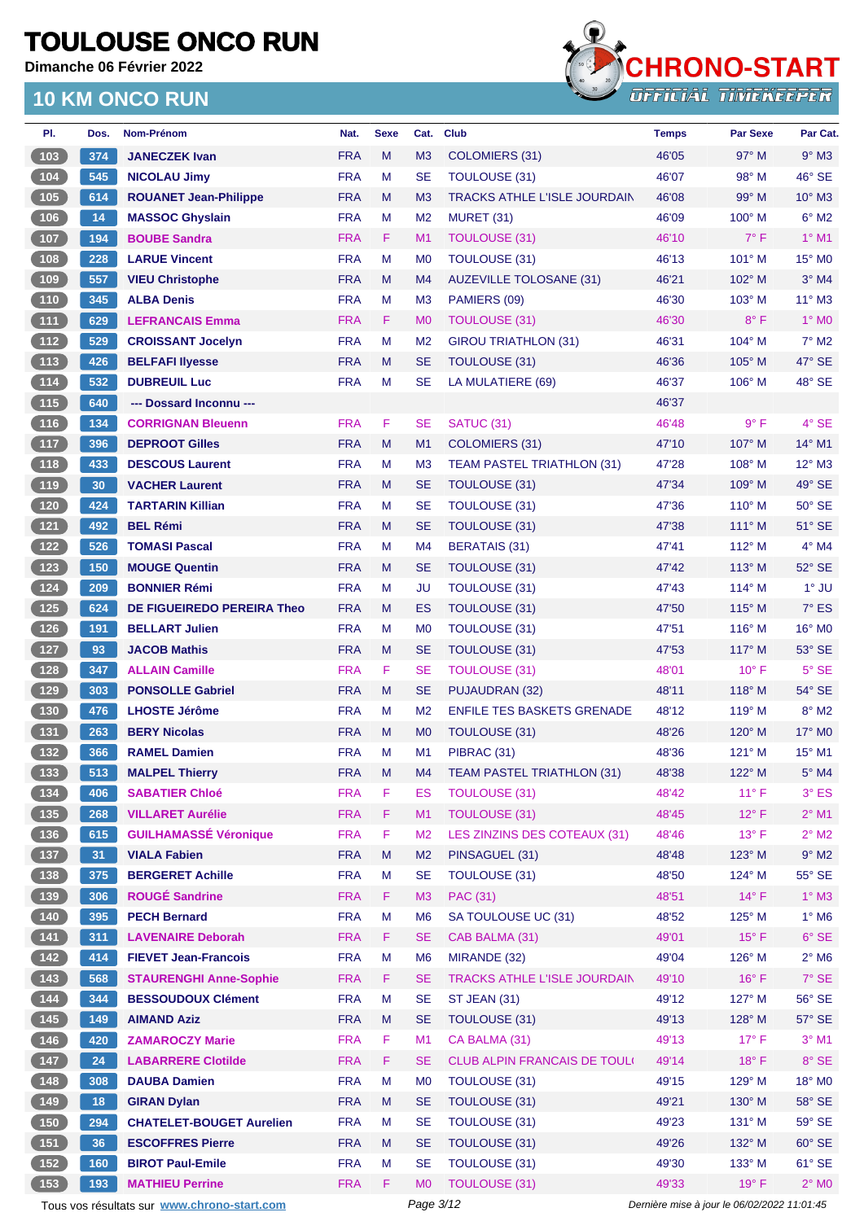**Dimanche 06 Février 2022**



| PI.                                                | Dos. | <b>Nom-Prénom</b>                           | Nat.                     | <b>Sexe</b> | Cat.                        | <b>Club</b>                         | <b>Temps</b> | <b>Par Sexe</b>                             | Par Cat.         |
|----------------------------------------------------|------|---------------------------------------------|--------------------------|-------------|-----------------------------|-------------------------------------|--------------|---------------------------------------------|------------------|
| 103                                                | 374  | <b>JANECZEK Ivan</b>                        | <b>FRA</b>               | M           | M <sub>3</sub>              | COLOMIERS (31)                      | 46'05        | $97^\circ$ M                                | $9°$ M3          |
| (104)                                              | 545  | <b>NICOLAU Jimy</b>                         | <b>FRA</b>               | M           | <b>SE</b>                   | <b>TOULOUSE (31)</b>                | 46'07        | 98° M                                       | 46° SE           |
| (105)                                              | 614  | <b>ROUANET Jean-Philippe</b>                | <b>FRA</b>               | M           | M <sub>3</sub>              | <b>TRACKS ATHLE L'ISLE JOURDAIN</b> | 46'08        | $99^\circ$ M                                | $10^{\circ}$ M3  |
| $106$                                              | 14   | <b>MASSOC Ghyslain</b>                      | <b>FRA</b>               | М           | M <sub>2</sub>              | MURET (31)                          | 46'09        | $100^\circ$ M                               | $6^\circ$ M2     |
| $107$                                              | 194  | <b>BOUBE Sandra</b>                         | <b>FRA</b>               | F.          | M <sub>1</sub>              | <b>TOULOUSE (31)</b>                | 46'10        | $7^\circ$ F                                 | $1°$ M1          |
| 108                                                | 228  | <b>LARUE Vincent</b>                        | <b>FRA</b>               | M           | M <sub>0</sub>              | TOULOUSE (31)                       | 46'13        | 101° M                                      | 15° MO           |
| (109                                               | 557  | <b>VIEU Christophe</b>                      | <b>FRA</b>               | M           | M <sub>4</sub>              | <b>AUZEVILLE TOLOSANE (31)</b>      | 46'21        | $102^\circ$ M                               | $3°$ M4          |
| (110)                                              | 345  | <b>ALBA Denis</b>                           | <b>FRA</b>               | M           | M <sub>3</sub>              | PAMIERS (09)                        | 46'30        | 103° M                                      | $11^{\circ}$ M3  |
| (111)                                              | 629  | <b>LEFRANCAIS Emma</b>                      | <b>FRA</b>               | F.          | M <sub>0</sub>              | TOULOUSE (31)                       | 46'30        | $8^{\circ}$ F                               | 1° MO            |
| 112                                                | 529  | <b>CROISSANT Jocelyn</b>                    | <b>FRA</b>               | М           | M <sub>2</sub>              | <b>GIROU TRIATHLON (31)</b>         | 46'31        | $104^\circ$ M                               | $7^\circ$ M2     |
| (113)                                              | 426  | <b>BELFAFI llyesse</b>                      | <b>FRA</b>               | M           | <b>SE</b>                   | TOULOUSE (31)                       | 46'36        | $105^\circ$ M                               | 47° SE           |
| $\boxed{114}$                                      | 532  | <b>DUBREUIL Luc</b>                         | <b>FRA</b>               | М           | <b>SE</b>                   | LA MULATIERE (69)                   | 46'37        | $106^\circ$ M                               | 48° SE           |
| (115)                                              | 640  | --- Dossard Inconnu ---                     |                          |             |                             |                                     | 46'37        |                                             |                  |
| (116)                                              | 134  | <b>CORRIGNAN Bleuenn</b>                    | <b>FRA</b>               | F           | <b>SE</b>                   | SATUC <sub>(31)</sub>               | 46'48        | $9^{\circ}$ F                               | 4° SE            |
| (117)                                              | 396  | <b>DEPROOT Gilles</b>                       | <b>FRA</b>               | M           | M <sub>1</sub>              | <b>COLOMIERS (31)</b>               | 47'10        | 107° M                                      | 14° M1           |
| 118                                                | 433  | <b>DESCOUS Laurent</b>                      | <b>FRA</b>               | M           | M <sub>3</sub>              | <b>TEAM PASTEL TRIATHLON (31)</b>   | 47'28        | $108^\circ$ M                               | $12^{\circ}$ M3  |
| (119                                               | 30   | <b>VACHER Laurent</b>                       | <b>FRA</b>               | M           | <b>SE</b>                   | TOULOUSE (31)                       | 47'34        | $109^\circ$ M                               | 49° SE           |
| (120)                                              | 424  | <b>TARTARIN Killian</b>                     | <b>FRA</b>               | М           | <b>SE</b>                   | <b>TOULOUSE (31)</b>                | 47'36        | $110^\circ$ M                               | $50^\circ$ SE    |
| (121)                                              | 492  | <b>BEL Rémi</b>                             | <b>FRA</b>               | M           | <b>SE</b>                   | <b>TOULOUSE (31)</b>                | 47'38        | $111^\circ$ M                               | 51° SE           |
| 122                                                | 526  | <b>TOMASI Pascal</b>                        | <b>FRA</b>               | М           | M4                          | <b>BERATAIS (31)</b>                | 47'41        | $112^{\circ}$ M                             | $4^\circ$ M4     |
| $123$                                              | 150  | <b>MOUGE Quentin</b>                        | <b>FRA</b>               | M           | <b>SE</b>                   | <b>TOULOUSE (31)</b>                | 47'42        | $113^\circ$ M                               | 52° SE           |
| (124)                                              | 209  | <b>BONNIER Rémi</b>                         | <b>FRA</b>               | M           | <b>JU</b>                   | <b>TOULOUSE (31)</b>                | 47'43        | 114° M                                      | $1°$ JU          |
|                                                    | 624  |                                             |                          | M           |                             | <b>TOULOUSE (31)</b>                |              |                                             | $7°$ ES          |
| (125)                                              |      | DE FIGUEIREDO PEREIRA Theo                  | <b>FRA</b>               |             | ES                          |                                     | 47'50        | $115^\circ$ M                               |                  |
| (126)                                              | 191  | <b>BELLART Julien</b>                       | <b>FRA</b><br><b>FRA</b> | M<br>M      | M <sub>0</sub><br><b>SE</b> | <b>TOULOUSE (31)</b>                | 47'51        | 116° M                                      | 16° MO<br>53° SE |
| (127)                                              | 93   | <b>JACOB Mathis</b>                         |                          |             |                             | <b>TOULOUSE (31)</b>                | 47'53        | 117° M                                      |                  |
| (128)                                              | 347  | <b>ALLAIN Camille</b>                       | <b>FRA</b>               | F           | <b>SE</b>                   | <b>TOULOUSE (31)</b>                | 48'01        | $10^{\circ}$ F                              | $5^\circ$ SE     |
| 129                                                | 303  | <b>PONSOLLE Gabriel</b>                     | <b>FRA</b>               | M           | <b>SE</b>                   | PUJAUDRAN (32)                      | 48'11        | $118^\circ$ M                               | 54° SE           |
| (130)                                              | 476  | <b>LHOSTE Jérôme</b>                        | <b>FRA</b>               | М           | M <sub>2</sub>              | <b>ENFILE TES BASKETS GRENADE</b>   | 48'12        | $119^\circ$ M                               | $8^\circ$ M2     |
| (131)                                              | 263  | <b>BERY Nicolas</b>                         | <b>FRA</b>               | M           | M <sub>0</sub>              | <b>TOULOUSE (31)</b>                | 48'26        | $120^\circ$ M                               | 17° M0           |
| $\boxed{132}$                                      | 366  | <b>RAMEL Damien</b>                         | <b>FRA</b>               | М           | M <sub>1</sub>              | PIBRAC (31)                         | 48'36        | $121^\circ$ M                               | 15° M1           |
| (133)                                              | 513  | <b>MALPEL Thierry</b>                       | <b>FRA</b>               | M           | M4                          | <b>TEAM PASTEL TRIATHLON (31)</b>   | 48'38        | $122^{\circ}$ M                             | 5° M4            |
| $134$                                              | 406  | <b>SABATIER Chloé</b>                       | <b>FRA</b>               | F           | ES                          | <b>TOULOUSE (31)</b>                | 48'42        | $11^{\circ}$ F                              | $3°$ ES          |
| (135)                                              | 268  | <b>VILLARET Aurélie</b>                     | <b>FRA</b>               | F           | M1                          | <b>TOULOUSE (31)</b>                | 48'45        | $12^{\circ}$ F                              | $2^{\circ}$ M1   |
| $136$                                              | 615  | <b>GUILHAMASSÉ Véronique</b>                | <b>FRA</b>               | F           | M <sub>2</sub>              | LES ZINZINS DES COTEAUX (31)        | 48'46        | $13^{\circ}$ F                              | $2^{\circ}$ M2   |
| (137)                                              | 31   | <b>VIALA Fabien</b>                         | <b>FRA</b>               | M           | M <sub>2</sub>              | PINSAGUEL (31)                      | 48'48        | 123° M                                      | $9^\circ$ M2     |
| $\begin{array}{ c c c }\n\hline\n138\n\end{array}$ | 375  | <b>BERGERET Achille</b>                     | <b>FRA</b>               | М           | <b>SE</b>                   | <b>TOULOUSE (31)</b>                | 48'50        | $124^\circ$ M                               | $55^\circ$ SE    |
| (139)                                              | 306  | <b>ROUGÉ Sandrine</b>                       | <b>FRA</b>               | F.          | M <sub>3</sub>              | <b>PAC (31)</b>                     | 48'51        | $14^{\circ}$ F                              | $1^\circ$ M3     |
| $\begin{array}{c} \hline 140 \end{array}$          | 395  | <b>PECH Bernard</b>                         | <b>FRA</b>               | M           | M <sub>6</sub>              | SA TOULOUSE UC (31)                 | 48'52        | $125^\circ$ M                               | $1^\circ$ M6     |
| (141)                                              | 311  | <b>LAVENAIRE Deborah</b>                    | <b>FRA</b>               | F           | <b>SE</b>                   | CAB BALMA (31)                      | 49'01        | $15^{\circ}$ F                              | $6^{\circ}$ SE   |
| $\begin{array}{c} \boxed{142} \end{array}$         | 414  | <b>FIEVET Jean-Francois</b>                 | <b>FRA</b>               | М           | M <sub>6</sub>              | MIRANDE (32)                        | 49'04        | $126^\circ$ M                               | $2^{\circ}$ M6   |
| (143)                                              | 568  | <b>STAURENGHI Anne-Sophie</b>               | <b>FRA</b>               | F           | <b>SE</b>                   | TRACKS ATHLE L'ISLE JOURDAIN        | 49'10        | $16^{\circ}$ F                              | 7° SE            |
| $144$                                              | 344  | <b>BESSOUDOUX Clément</b>                   | <b>FRA</b>               | M           | <b>SE</b>                   | ST JEAN (31)                        | 49'12        | 127° M                                      | 56° SE           |
| (145)                                              | 149  | <b>AIMAND Aziz</b>                          | <b>FRA</b>               | M           | <b>SE</b>                   | <b>TOULOUSE (31)</b>                | 49'13        | $128^\circ$ M                               | 57° SE           |
| $(146)$                                            | 420  | <b>ZAMAROCZY Marie</b>                      | <b>FRA</b>               | F           | M1                          | CA BALMA (31)                       | 49'13        | $17^{\circ}$ F                              | $3°$ M1          |
| (147)                                              | 24   | <b>LABARRERE Clotilde</b>                   | <b>FRA</b>               | F           | <b>SE</b>                   | CLUB ALPIN FRANCAIS DE TOULI        | 49'14        | $18^{\circ}$ F                              | $8^\circ$ SE     |
| $\begin{array}{c} \hline 148 \end{array}$          | 308  | <b>DAUBA Damien</b>                         | <b>FRA</b>               | M           | M <sub>0</sub>              | <b>TOULOUSE (31)</b>                | 49'15        | 129° M                                      | 18° MO           |
| (149)                                              | 18   | <b>GIRAN Dylan</b>                          | <b>FRA</b>               | M           | <b>SE</b>                   | TOULOUSE (31)                       | 49'21        | 130° M                                      | 58° SE           |
| $\overline{150}$                                   | 294  | <b>CHATELET-BOUGET Aurelien</b>             | <b>FRA</b>               | M           | <b>SE</b>                   | TOULOUSE (31)                       | 49'23        | $131^\circ$ M                               | 59° SE           |
| (151)                                              | 36   | <b>ESCOFFRES Pierre</b>                     | <b>FRA</b>               | M           | <b>SE</b>                   | <b>TOULOUSE (31)</b>                | 49'26        | 132° M                                      | $60^\circ$ SE    |
| $152$                                              | 160  | <b>BIROT Paul-Emile</b>                     | <b>FRA</b>               | М           | <b>SE</b>                   | TOULOUSE (31)                       | 49'30        | 133° M                                      | $61^\circ$ SE    |
| (153)                                              | 193  | <b>MATHIEU Perrine</b>                      | <b>FRA</b>               | F           | M <sub>0</sub>              | <b>TOULOUSE (31)</b>                | 49'33        | 19°F                                        | $2^\circ$ MO     |
|                                                    |      | Tous vos résultats sur www.chrono-start.com |                          |             | Page 3/12                   |                                     |              | Dernière mise à jour le 06/02/2022 11:01:45 |                  |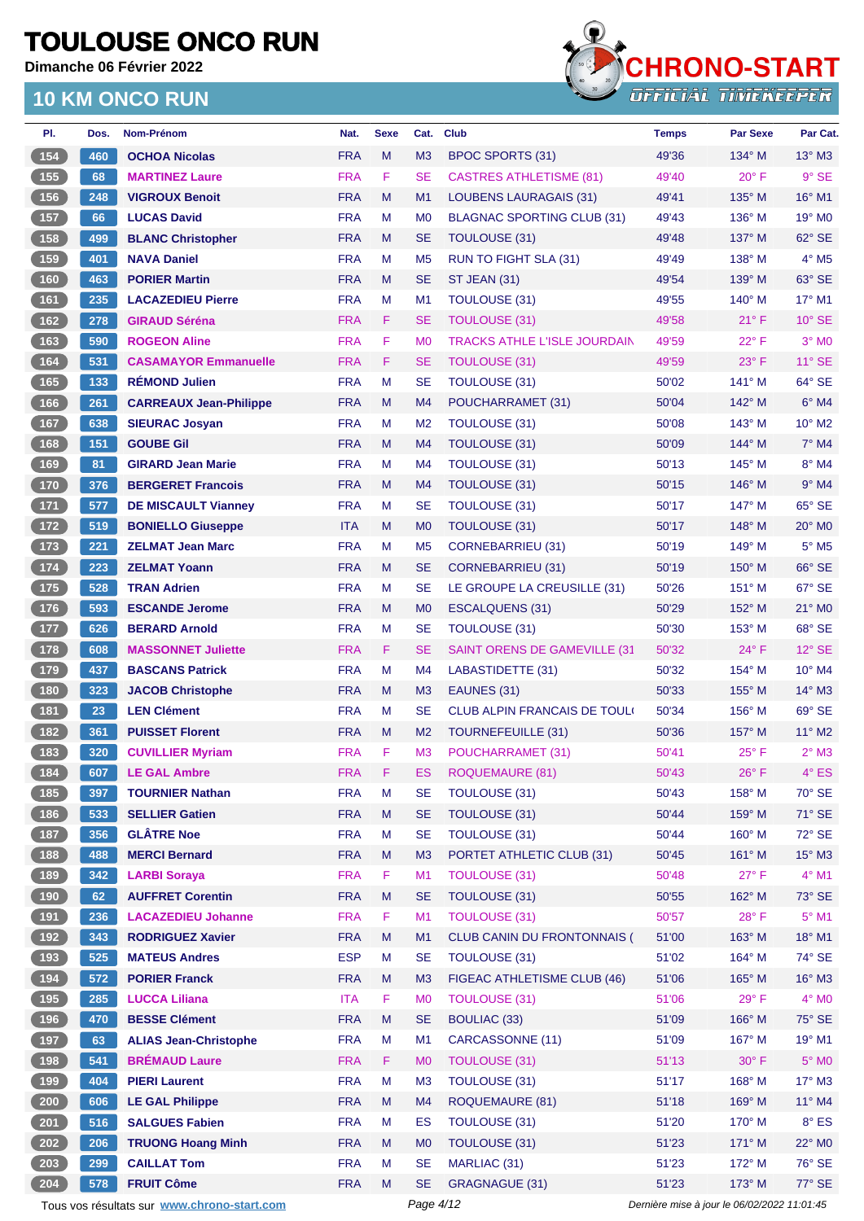**Dimanche 06 Février 2022**



| PI.                                               | Dos. | Nom-Prénom                                  | Nat.       | <b>Sexe</b> | Cat.           | <b>Club</b>                          | <b>Temps</b>                                | <b>Par Sexe</b> | Par Cat.                  |
|---------------------------------------------------|------|---------------------------------------------|------------|-------------|----------------|--------------------------------------|---------------------------------------------|-----------------|---------------------------|
| (154)                                             | 460  | <b>OCHOA Nicolas</b>                        | <b>FRA</b> | M           | M3             | <b>BPOC SPORTS (31)</b>              | 49'36                                       | 134° M          | $13^\circ$ M3             |
| 155                                               | 68   | <b>MARTINEZ Laure</b>                       | <b>FRA</b> | F           | <b>SE</b>      | <b>CASTRES ATHLETISME (81)</b>       | 49'40                                       | $20^{\circ}$ F  | $9°$ SE                   |
| 156                                               | 248  | <b>VIGROUX Benoit</b>                       | <b>FRA</b> | M           | M <sub>1</sub> | LOUBENS LAURAGAIS (31)               | 49'41                                       | 135° M          | $16^{\circ}$ M1           |
| 157                                               | 66   | <b>LUCAS David</b>                          | <b>FRA</b> | М           | M <sub>0</sub> | BLAGNAC SPORTING CLUB (31)           | 49'43                                       | $136^\circ$ M   | 19° M <sub>0</sub>        |
| (158)                                             | 499  | <b>BLANC Christopher</b>                    | <b>FRA</b> | M           | <b>SE</b>      | TOULOUSE (31)                        | 49'48                                       | $137^\circ$ M   | 62° SE                    |
| 159                                               | 401  | <b>NAVA Daniel</b>                          | <b>FRA</b> | M           | M <sub>5</sub> | RUN TO FIGHT SLA (31)                | 49'49                                       | $138^\circ$ M   | $4^\circ$ M <sub>5</sub>  |
| (160)                                             | 463  | <b>PORIER Martin</b>                        | <b>FRA</b> | M           | <b>SE</b>      | <b>ST JEAN (31)</b>                  | 49'54                                       | $139^\circ$ M   | 63° SE                    |
| $\boxed{161}$                                     | 235  | <b>LACAZEDIEU Pierre</b>                    | <b>FRA</b> | M           | M <sub>1</sub> | <b>TOULOUSE (31)</b>                 | 49'55                                       | $140^\circ$ M   | 17° M1                    |
| (162)                                             | 278  | <b>GIRAUD Séréna</b>                        | <b>FRA</b> | F.          | <b>SE</b>      | <b>TOULOUSE (31)</b>                 | 49'58                                       | $21^{\circ}$ F  | $10^{\circ}$ SE           |
| $163$                                             | 590  | <b>ROGEON Aline</b>                         | <b>FRA</b> | F           | M <sub>0</sub> | <b>TRACKS ATHLE L'ISLE JOURDAIN</b>  | 49'59                                       | $22^{\circ}$ F  | $3°$ MO                   |
| 164                                               | 531  | <b>CASAMAYOR Emmanuelle</b>                 | <b>FRA</b> | F           | <b>SE</b>      | <b>TOULOUSE (31)</b>                 | 49'59                                       | $23^\circ$ F    | $11^{\circ}$ SE           |
| 165                                               | 133  | <b>RÉMOND Julien</b>                        | <b>FRA</b> | M           | <b>SE</b>      | <b>TOULOUSE (31)</b>                 | 50'02                                       | 141° M          | 64° SE                    |
| (166)                                             | 261  | <b>CARREAUX Jean-Philippe</b>               | <b>FRA</b> | M           | M <sub>4</sub> | POUCHARRAMET (31)                    | 50'04                                       | $142^\circ$ M   | $6°$ M4                   |
| $167$                                             | 638  | <b>SIEURAC Josyan</b>                       | <b>FRA</b> | M           | M <sub>2</sub> | <b>TOULOUSE (31)</b>                 | 50'08                                       | $143^\circ$ M   | 10° M2                    |
| 168                                               | 151  | <b>GOUBE Gil</b>                            | <b>FRA</b> | M           | M <sub>4</sub> | TOULOUSE (31)                        | 50'09                                       | $144^\circ$ M   | $7^\circ$ M4              |
| $169$                                             | 81   | <b>GIRARD Jean Marie</b>                    | <b>FRA</b> | M           | M <sub>4</sub> | <b>TOULOUSE (31)</b>                 | 50'13                                       | $145^\circ$ M   | 8° M4                     |
| (170)                                             | 376  | <b>BERGERET Francois</b>                    | <b>FRA</b> | M           | M <sub>4</sub> | <b>TOULOUSE (31)</b>                 | 50'15                                       | $146^\circ$ M   | $9°$ M4                   |
| $\begin{array}{c} \boxed{171} \end{array}$        | 577  | <b>DE MISCAULT Vianney</b>                  | <b>FRA</b> | м           | <b>SE</b>      | <b>TOULOUSE (31)</b>                 | 50'17                                       | $147^\circ$ M   | $65^\circ$ SE             |
| (172)                                             | 519  | <b>BONIELLO Giuseppe</b>                    | <b>ITA</b> | M           | M <sub>0</sub> | <b>TOULOUSE (31)</b>                 | 50'17                                       | $148^\circ$ M   | $20^\circ$ M <sub>0</sub> |
| $\begin{array}{c} \boxed{173} \end{array}$        | 221  | <b>ZELMAT Jean Marc</b>                     | <b>FRA</b> | M           | M <sub>5</sub> | <b>CORNEBARRIEU (31)</b>             | 50'19                                       | $149^\circ$ M   | $5^\circ$ M5              |
| 174                                               | 223  | <b>ZELMAT Yoann</b>                         | <b>FRA</b> | M           | <b>SE</b>      | <b>CORNEBARRIEU (31)</b>             | 50'19                                       | $150^\circ$ M   | 66° SE                    |
|                                                   |      |                                             | <b>FRA</b> |             | <b>SE</b>      |                                      |                                             |                 | 67° SE                    |
| $\boxed{175}$                                     | 528  | <b>TRAN Adrien</b>                          |            | M           |                | LE GROUPE LA CREUSILLE (31)          | 50'26                                       | $151^\circ$ M   |                           |
| (176)                                             | 593  | <b>ESCANDE Jerome</b>                       | <b>FRA</b> | M           | M <sub>0</sub> | <b>ESCALQUENS (31)</b>               | 50'29                                       | 152° M          | 21° MO                    |
| 177                                               | 626  | <b>BERARD Arnold</b>                        | <b>FRA</b> | М           | <b>SE</b>      | <b>TOULOUSE (31)</b>                 | 50'30                                       | $153^\circ$ M   | 68° SE                    |
| (178)                                             | 608  | <b>MASSONNET Juliette</b>                   | <b>FRA</b> | F           | <b>SE</b>      | <b>SAINT ORENS DE GAMEVILLE (31)</b> | 50'32                                       | $24^{\circ}$ F  | $12^{\circ}$ SE           |
| 179                                               | 437  | <b>BASCANS Patrick</b>                      | <b>FRA</b> | M           | M <sub>4</sub> | LABASTIDETTE (31)                    | 50'32                                       | $154^{\circ}$ M | 10° M4                    |
| (180)                                             | 323  | <b>JACOB Christophe</b>                     | <b>FRA</b> | M           | M <sub>3</sub> | EAUNES (31)                          | 50'33                                       | 155° M          | 14° M3                    |
| $\boxed{181}$                                     | 23   | <b>LEN Clément</b>                          | <b>FRA</b> | M           | <b>SE</b>      | <b>CLUB ALPIN FRANCAIS DE TOULO</b>  | 50'34                                       | $156^\circ$ M   | 69° SE                    |
| (182)                                             | 361  | <b>PUISSET Florent</b>                      | <b>FRA</b> | M           | M <sub>2</sub> | <b>TOURNEFEUILLE (31)</b>            | 50'36                                       | $157^\circ$ M   | 11° M2                    |
| $\boxed{183}$                                     | 320  | <b>CUVILLIER Myriam</b>                     | <b>FRA</b> | F           | M <sub>3</sub> | POUCHARRAMET (31)                    | 50'41                                       | $25^{\circ}$ F  | $2^{\circ}$ M3            |
| 184                                               | 607  | <b>LE GAL Ambre</b>                         | <b>FRA</b> | F           | ES             | <b>ROQUEMAURE (81)</b>               | 50'43                                       | $26^{\circ}$ F  | 4° ES                     |
| 185                                               | 397  | <b>TOURNIER Nathan</b>                      | <b>FRA</b> | M           | <b>SE</b>      | TOULOUSE (31)                        | 50'43                                       | 158° M          | 70° SE                    |
| (186)                                             | 533  | <b>SELLIER Gatien</b>                       | <b>FRA</b> | M           | <b>SE</b>      | <b>TOULOUSE (31)</b>                 | 50'44                                       | 159° M          | 71° SE                    |
| $\begin{array}{c} \n \textbf{187} \\ \end{array}$ | 356  | <b>GLÂTRE Noe</b>                           | <b>FRA</b> | M           | <b>SE</b>      | TOULOUSE (31)                        | 50'44                                       | 160° M          | 72° SE                    |
| $\begin{array}{c} \boxed{188} \end{array}$        | 488  | <b>MERCI Bernard</b>                        | <b>FRA</b> | M           | M <sub>3</sub> | PORTET ATHLETIC CLUB (31)            | 50'45                                       | 161° M          | 15° M3                    |
| $\begin{array}{c} \n \text{189}\n \end{array}$    | 342  | <b>LARBI Soraya</b>                         | <b>FRA</b> | F           | M1             | <b>TOULOUSE (31)</b>                 | 50'48                                       | $27^\circ$ F    | 4° M1                     |
| (190)                                             | 62   | <b>AUFFRET Corentin</b>                     | <b>FRA</b> | M           | <b>SE</b>      | <b>TOULOUSE (31)</b>                 | 50'55                                       | 162° M          | 73° SE                    |
| (191)                                             | 236  | <b>LACAZEDIEU Johanne</b>                   | <b>FRA</b> | F           | M1             | <b>TOULOUSE (31)</b>                 | 50'57                                       | 28°F            | $5^{\circ}$ M1            |
| (192)                                             | 343  | <b>RODRIGUEZ Xavier</b>                     | <b>FRA</b> | M           | M1             | <b>CLUB CANIN DU FRONTONNAIS (</b>   | 51'00                                       | $163^\circ$ M   | 18° M1                    |
| $\begin{array}{c} \boxed{193} \end{array}$        | 525  | <b>MATEUS Andres</b>                        | <b>ESP</b> | M           | <b>SE</b>      | TOULOUSE (31)                        | 51'02                                       | $164^\circ$ M   | 74° SE                    |
| (194)                                             | 572  | <b>PORIER Franck</b>                        | <b>FRA</b> | M           | M3             | FIGEAC ATHLETISME CLUB (46)          | 51'06                                       | 165° M          | 16° M3                    |
| $195$                                             | 285  | <b>LUCCA Liliana</b>                        | <b>ITA</b> | F           | M <sub>0</sub> | <b>TOULOUSE (31)</b>                 | 51'06                                       | $29^\circ$ F    | $4^\circ$ MO              |
| (196)                                             | 470  | <b>BESSE Clément</b>                        | <b>FRA</b> | M           | <b>SE</b>      | <b>BOULIAC (33)</b>                  | 51'09                                       | 166° M          | 75° SE                    |
| (197)                                             | 63   | <b>ALIAS Jean-Christophe</b>                | <b>FRA</b> | M           | M1             | CARCASSONNE (11)                     | 51'09                                       | 167° M          | $19°$ M1                  |
| (198)                                             | 541  | <b>BRÉMAUD Laure</b>                        | <b>FRA</b> | F           | M <sub>0</sub> | <b>TOULOUSE (31)</b>                 | 51'13                                       | 30° F           | $5^\circ$ MO              |
| 199                                               | 404  | <b>PIERI Laurent</b>                        | <b>FRA</b> | M           | M <sub>3</sub> | <b>TOULOUSE (31)</b>                 | 51'17                                       | 168° M          | 17° M3                    |
| $\left( 200 \right)$                              | 606  | <b>LE GAL Philippe</b>                      | <b>FRA</b> | M           | M4             | <b>ROQUEMAURE (81)</b>               | 51'18                                       | 169° M          | 11° M4                    |
| $201$                                             | 516  | <b>SALGUES Fabien</b>                       | <b>FRA</b> | M           | ES             | <b>TOULOUSE (31)</b>                 | 51'20                                       | $170^\circ$ M   | $8^\circ$ ES              |
| $\sqrt{202}$                                      | 206  | <b>TRUONG Hoang Minh</b>                    | <b>FRA</b> | M           | M <sub>0</sub> | TOULOUSE (31)                        | 51'23                                       | 171° M          | 22° MO                    |
| 203                                               | 299  | <b>CAILLAT Tom</b>                          | <b>FRA</b> | M           | <b>SE</b>      | MARLIAC (31)                         | 51'23                                       | 172° M          | 76° SE                    |
| 204                                               | 578  | <b>FRUIT Côme</b>                           | <b>FRA</b> | M           | <b>SE</b>      | GRAGNAGUE (31)                       | 51'23                                       | 173° M          | 77° SE                    |
|                                                   |      | Tous vos résultats sur www.chrono-start.com |            |             | Page 4/12      |                                      | Dernière mise à jour le 06/02/2022 11:01:45 |                 |                           |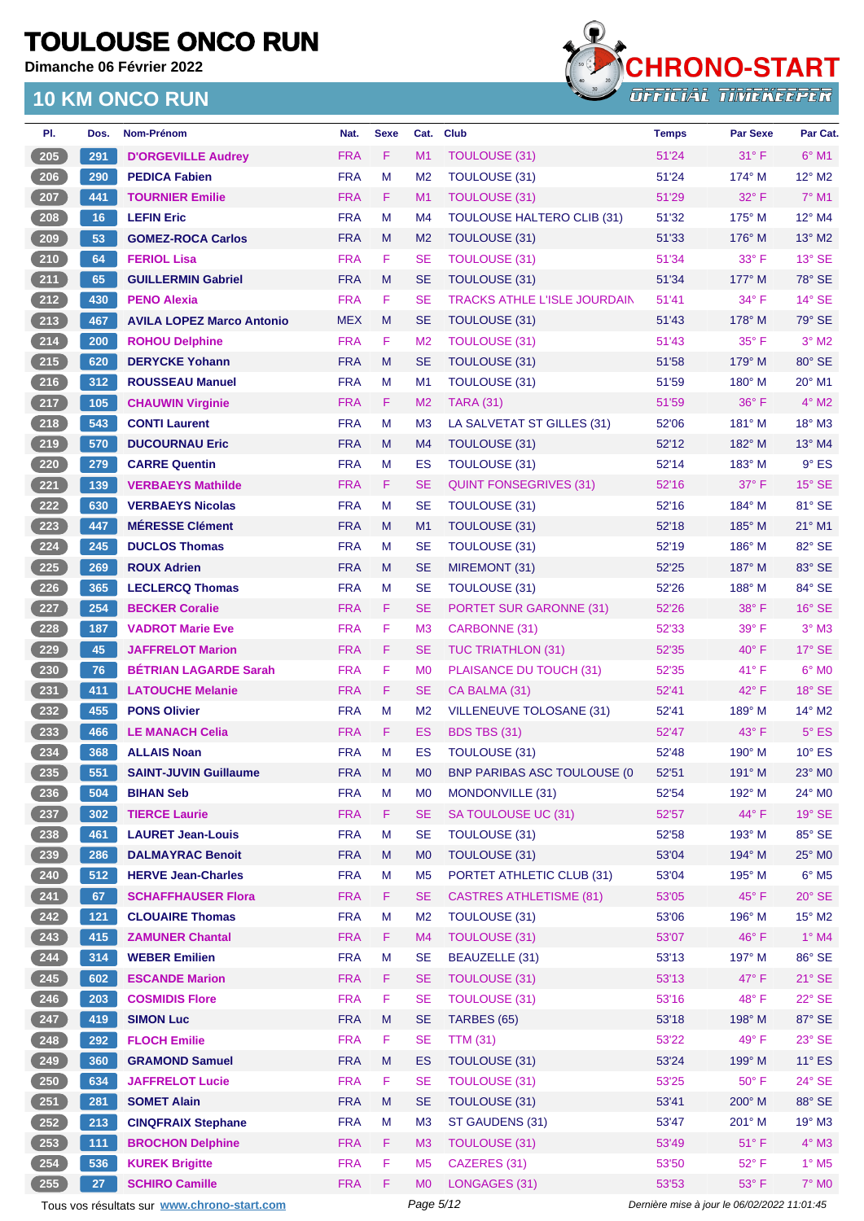**Dimanche 06 Février 2022**

#### **10 KM ONCO RUN**



| Dos.  | Nom-Prénom                       | Nat.       | <b>Sexe</b> | Cat.           | <b>Club</b>                         | <b>Temps</b> | <b>Par Sexe</b> | Par Cat.                 |
|-------|----------------------------------|------------|-------------|----------------|-------------------------------------|--------------|-----------------|--------------------------|
| 291   | <b>D'ORGEVILLE Audrey</b>        | <b>FRA</b> | F           | M1             | <b>TOULOUSE (31)</b>                | 51'24        | $31^\circ$ F    | $6^{\circ}$ M1           |
| 290   | <b>PEDICA Fabien</b>             | <b>FRA</b> | M           | M <sub>2</sub> | TOULOUSE (31)                       | 51'24        | $174^\circ$ M   | $12^{\circ}$ M2          |
| 441   | <b>TOURNIER Emilie</b>           | <b>FRA</b> | F           | M <sub>1</sub> | <b>TOULOUSE (31)</b>                | 51'29        | $32^\circ$ F    | $7^\circ$ M1             |
| 16    | <b>LEFIN Eric</b>                | <b>FRA</b> | M           | M4             | <b>TOULOUSE HALTERO CLIB (31)</b>   | 51'32        | $175^\circ$ M   | $12^{\circ}$ M4          |
| 53    | <b>GOMEZ-ROCA Carlos</b>         | <b>FRA</b> | M           | M <sub>2</sub> | TOULOUSE (31)                       | 51'33        | $176^\circ$ M   | 13° M2                   |
| 64    | <b>FERIOL Lisa</b>               | <b>FRA</b> | F           | <b>SE</b>      | <b>TOULOUSE (31)</b>                | 51'34        | $33^\circ$ F    | 13° SE                   |
| 65    | <b>GUILLERMIN Gabriel</b>        | <b>FRA</b> | M           | SE             | <b>TOULOUSE (31)</b>                | 51'34        | 177° M          | 78° SE                   |
| 430   | <b>PENO Alexia</b>               | <b>FRA</b> | F           | <b>SE</b>      | <b>TRACKS ATHLE L'ISLE JOURDAIN</b> | 51'41        | $34^\circ$ F    | $14^\circ$ SE            |
| 467   | <b>AVILA LOPEZ Marco Antonio</b> | <b>MEX</b> | M           | SE             | <b>TOULOUSE (31)</b>                | 51'43        | $178^\circ$ M   | 79° SE                   |
| 200   | <b>ROHOU Delphine</b>            | <b>FRA</b> | F           | M <sub>2</sub> | <b>TOULOUSE (31)</b>                | 51'43        | $35^{\circ}$ F  | $3^\circ$ M2             |
| 620   | <b>DERYCKE Yohann</b>            | <b>FRA</b> | M           | SE             | TOULOUSE (31)                       | 51'58        | $179^\circ$ M   | 80° SE                   |
| 312   | <b>ROUSSEAU Manuel</b>           | <b>FRA</b> | M           | M1             | <b>TOULOUSE (31)</b>                | 51'59        | $180^\circ$ M   | 20° M1                   |
| 105   | <b>CHAUWIN Virginie</b>          | <b>FRA</b> | F.          | M <sub>2</sub> | <b>TARA (31)</b>                    | 51'59        | $36^{\circ}$ F  | $4^\circ$ M2             |
| 543   | <b>CONTI Laurent</b>             | <b>FRA</b> | M           | M <sub>3</sub> | LA SALVETAT ST GILLES (31)          | 52'06        | $181^\circ$ M   | $18^{\circ}$ M3          |
| 570   | <b>DUCOURNAU Eric</b>            | <b>FRA</b> | M           | M <sub>4</sub> | <b>TOULOUSE (31)</b>                | 52'12        | $182^\circ$ M   | 13° M4                   |
| 279   | <b>CARRE Quentin</b>             | <b>FRA</b> | M           | ES             | TOULOUSE (31)                       | 52'14        | $183^\circ$ M   | $9°$ ES                  |
| 139   | <b>VERBAEYS Mathilde</b>         | <b>FRA</b> | F           | SE             | <b>QUINT FONSEGRIVES (31)</b>       | 52'16        | $37^\circ$ F    | $15^\circ$ SE            |
| 630   | <b>VERBAEYS Nicolas</b>          | <b>FRA</b> | M           | <b>SE</b>      | <b>TOULOUSE (31)</b>                | 52'16        | 184° M          | 81° SE                   |
| 447   | <b>MÉRESSE Clément</b>           | <b>FRA</b> | M           | M1             | TOULOUSE (31)                       | 52'18        | 185° M          | $21^\circ$ M1            |
| 245   | <b>DUCLOS Thomas</b>             | <b>FRA</b> | M           | SE             | <b>TOULOUSE (31)</b>                | 52'19        | $186^\circ$ M   | 82° SE                   |
| 269   | <b>ROUX Adrien</b>               | <b>FRA</b> | M           | <b>SE</b>      | MIREMONT (31)                       | 52'25        | 187° M          | 83° SE                   |
| 365   | <b>LECLERCQ Thomas</b>           | <b>FRA</b> | м           | <b>SE</b>      | TOULOUSE (31)                       | 52'26        | $188^\circ$ M   | 84° SE                   |
| 254   | <b>BECKER Coralie</b>            | <b>FRA</b> | F           | SE             | <b>PORTET SUR GARONNE (31)</b>      | 52'26        | 38° F           | $16°$ SE                 |
| 187   | <b>VADROT Marie Eve</b>          | <b>FRA</b> | F           | M <sub>3</sub> | CARBONNE (31)                       | 52'33        | 39° F           | $3°$ M3                  |
| 45    | <b>JAFFRELOT Marion</b>          | <b>FRA</b> | F           | SE             | <b>TUC TRIATHLON (31)</b>           | 52'35        | $40^{\circ}$ F  | 17° SE                   |
| 76    | <b>BETRIAN LAGARDE Sarah</b>     | <b>FRA</b> | F           | M <sub>0</sub> | PLAISANCE DU TOUCH (31)             | 52'35        | 41°F            | $6^{\circ}$ MO           |
| 411   | <b>LATOUCHE Melanie</b>          | <b>FRA</b> | F           | SE             | CA BALMA (31)                       | 52'41        | $42^{\circ}$ F  | $18^\circ$ SE            |
| 455   | <b>PONS Olivier</b>              | <b>FRA</b> | м           | M <sub>2</sub> | <b>VILLENEUVE TOLOSANE (31)</b>     | 52'41        | $189^\circ$ M   | $14^{\circ}$ M2          |
| 466   | <b>LE MANACH Celia</b>           | <b>FRA</b> | F           | ES             | <b>BDS TBS (31)</b>                 | 52'47        | $43^{\circ}$ F  | $5^{\circ}$ ES           |
| 368   | <b>ALLAIS Noan</b>               | <b>FRA</b> | M           | ES             | TOULOUSE (31)                       | 52'48        | $190^\circ$ M   | $10^{\circ}$ ES          |
| 551   | <b>SAINT-JUVIN Guillaume</b>     | <b>FRA</b> | M           | МO             | <b>BNP PARIBAS ASC TOULOUSE (0)</b> | 52'51        | 191° M          | 23° MO                   |
| 504   | <b>BIHAN Seb</b>                 | <b>FRA</b> | M           | M <sub>0</sub> | MONDONVILLE (31)                    | 52'54        | 192° M          | 24° MO                   |
| 302   | <b>TIERCE Laurie</b>             | <b>FRA</b> | F           | <b>SE</b>      | SA TOULOUSE UC (31)                 | 52'57        | 44°F            | $19°$ SE                 |
| 461   | <b>LAURET Jean-Louis</b>         | <b>FRA</b> | M           | <b>SE</b>      | <b>TOULOUSE (31)</b>                | 52'58        | 193° M          | 85° SE                   |
| 286   | <b>DALMAYRAC Benoit</b>          | <b>FRA</b> | M           | M <sub>0</sub> | TOULOUSE (31)                       | 53'04        | 194° M          | 25° MO                   |
| 512   | <b>HERVE Jean-Charles</b>        | <b>FRA</b> | M           | M <sub>5</sub> | PORTET ATHLETIC CLUB (31)           | 53'04        | 195° M          | $6^\circ$ M5             |
| 67    | <b>SCHAFFHAUSER Flora</b>        | <b>FRA</b> | F           | <b>SE</b>      | <b>CASTRES ATHLETISME (81)</b>      | 53'05        | 45°F            | $20^\circ$ SE            |
| $121$ | <b>CLOUAIRE Thomas</b>           | <b>FRA</b> | M           | M <sub>2</sub> | TOULOUSE (31)                       | 53'06        | 196° M          | $15^{\circ}$ M2          |
| 415   | <b>ZAMUNER Chantal</b>           | <b>FRA</b> | F           | M4             | <b>TOULOUSE (31)</b>                | 53'07        | 46°F            | $1^\circ$ M4             |
| 314   | <b>WEBER Emilien</b>             | <b>FRA</b> | M           | <b>SE</b>      | <b>BEAUZELLE (31)</b>               | 53'13        | 197° M          | 86° SE                   |
| 602   | <b>ESCANDE Marion</b>            | <b>FRA</b> | F.          | <b>SE</b>      | <b>TOULOUSE (31)</b>                | 53'13        | 47°F            | $21^\circ$ SE            |
| 203   | <b>COSMIDIS Flore</b>            | <b>FRA</b> | F           | <b>SE</b>      | <b>TOULOUSE (31)</b>                | 53'16        | 48°F            | 22° SE                   |
| 419   | <b>SIMON Luc</b>                 | <b>FRA</b> | M           | <b>SE</b>      | TARBES (65)                         | 53'18        | 198° M          | 87° SE                   |
| 292   | <b>FLOCH Emilie</b>              | <b>FRA</b> | F           | <b>SE</b>      | <b>TTM (31)</b>                     | 53'22        | 49°F            | 23° SE                   |
| 360   | <b>GRAMOND Samuel</b>            | <b>FRA</b> | M           | ES             | <b>TOULOUSE (31)</b>                | 53'24        | 199° M          | $11^\circ$ ES            |
| 634   | <b>JAFFRELOT Lucie</b>           | <b>FRA</b> | F           | <b>SE</b>      | <b>TOULOUSE (31)</b>                | 53'25        | 50° F           | 24° SE                   |
| 281   | <b>SOMET Alain</b>               | <b>FRA</b> | M           | <b>SE</b>      | TOULOUSE (31)                       | 53'41        | 200° M          | 88° SE                   |
| 213   | <b>CINQFRAIX Stephane</b>        | <b>FRA</b> | M           | M <sub>3</sub> | ST GAUDENS (31)                     | 53'47        | 201° M          | 19° M3                   |
| 111   | <b>BROCHON Delphine</b>          | <b>FRA</b> | F.          | M3             | <b>TOULOUSE (31)</b>                | 53'49        | $51^{\circ}$ F  | $4^\circ$ M3             |
| 536   | <b>KUREK Brigitte</b>            | <b>FRA</b> | F           | M <sub>5</sub> | CAZERES (31)                        | 53'50        | 52° F           | $1^\circ$ M <sub>5</sub> |
| 27    | <b>SCHIRO Camille</b>            | <b>FRA</b> | F           | M <sub>0</sub> | LONGAGES (31)                       | 53'53        | $53^\circ$ F    | <b>7° MO</b>             |
|       |                                  |            |             |                |                                     |              |                 |                          |

Tous vos résultats sur **[www.chrono-start.com](https://www.chrono-start.com/)** Page 5/12 Dernière mise à jour le 06/02/2022 11:01:45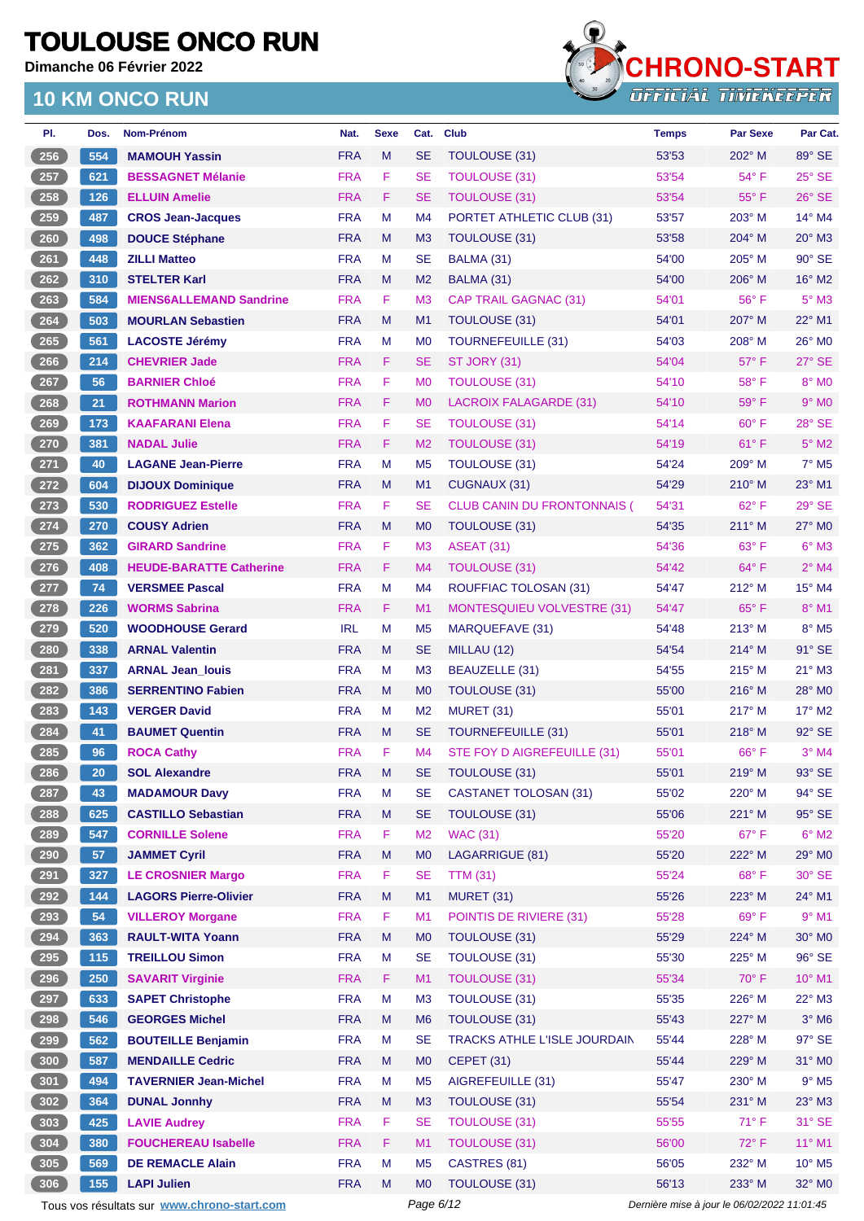**Dimanche 06 Février 2022**

### **10 KM ONCO RUN**



| PI.                | Dos. | <b>Nom-Prénom</b>              | Nat.       | <b>Sexe</b> | Cat.           | <b>Club</b>                        | <b>Temps</b> | <b>Par Sexe</b> | Par Cat.                    |
|--------------------|------|--------------------------------|------------|-------------|----------------|------------------------------------|--------------|-----------------|-----------------------------|
| 256                | 554  | <b>MAMOUH Yassin</b>           | <b>FRA</b> | M           | <b>SE</b>      | TOULOUSE (31)                      | 53'53        | $202^\circ$ M   | 89° SE                      |
| $257$              | 621  | <b>BESSAGNET Mélanie</b>       | <b>FRA</b> | F           | <b>SE</b>      | <b>TOULOUSE (31)</b>               | 53'54        | 54° F           | 25° SE                      |
| 258                | 126  | <b>ELLUIN Amelie</b>           | <b>FRA</b> | F           | <b>SE</b>      | <b>TOULOUSE (31)</b>               | 53'54        | $55^{\circ}$ F  | $26^\circ$ SE               |
| $259$              | 487  | <b>CROS Jean-Jacques</b>       | <b>FRA</b> | М           | M4             | PORTET ATHLETIC CLUB (31)          | 53'57        | $203^\circ$ M   | 14° M4                      |
| 260                | 498  | <b>DOUCE Stéphane</b>          | <b>FRA</b> | M           | M <sub>3</sub> | TOULOUSE (31)                      | 53'58        | $204^\circ$ M   | 20° M3                      |
| $261$              | 448  | <b>ZILLI Matteo</b>            | <b>FRA</b> | M           | <b>SE</b>      | BALMA (31)                         | 54'00        | $205^\circ$ M   | 90° SE                      |
| 262                | 310  | <b>STELTER Karl</b>            | <b>FRA</b> | M           | M <sub>2</sub> | BALMA (31)                         | 54'00        | $206^\circ$ M   | $16^\circ$ M2               |
| $263$              | 584  | <b>MIENS6ALLEMAND Sandrine</b> | <b>FRA</b> | F           | M <sub>3</sub> | <b>CAP TRAIL GAGNAC (31)</b>       | 54'01        | 56°F            | $5^\circ$ M3                |
| $264$              | 503  | <b>MOURLAN Sebastien</b>       | <b>FRA</b> | M           | M <sub>1</sub> | TOULOUSE (31)                      | 54'01        | 207° M          | $22^{\circ}$ M1             |
| $265$              | 561  | <b>LACOSTE Jérémy</b>          | <b>FRA</b> | М           | M <sub>0</sub> | <b>TOURNEFEUILLE (31)</b>          | 54'03        | $208^\circ$ M   | 26° MO                      |
| 266                | 214  | <b>CHEVRIER Jade</b>           | <b>FRA</b> | F           | <b>SE</b>      | ST JORY (31)                       | 54'04        | 57° F           | 27° SE                      |
| 267                | 56   | <b>BARNIER Chloé</b>           | <b>FRA</b> | F           | M <sub>0</sub> | <b>TOULOUSE (31)</b>               | 54'10        | $58^{\circ}$ F  | 8° MO                       |
| 268                | 21   | <b>ROTHMANN Marion</b>         | <b>FRA</b> | F.          | M <sub>0</sub> | <b>LACROIX FALAGARDE (31)</b>      | 54'10        | 59°F            | $9°$ MO                     |
| $269$              | 173  | <b>KAAFARANI Elena</b>         | <b>FRA</b> | F           | <b>SE</b>      | <b>TOULOUSE (31)</b>               | 54'14        | $60^{\circ}$ F  | 28° SE                      |
| 270                | 381  | <b>NADAL Julie</b>             | <b>FRA</b> | F           | M <sub>2</sub> | <b>TOULOUSE (31)</b>               | 54'19        | $61^{\circ}$ F  | $5^\circ$ M2                |
| 271                | 40   | <b>LAGANE Jean-Pierre</b>      | <b>FRA</b> | M           | M <sub>5</sub> | <b>TOULOUSE (31)</b>               | 54'24        | 209° M          | $7°$ M <sub>5</sub>         |
| 272                | 604  | <b>DIJOUX Dominique</b>        | <b>FRA</b> | M           | M1             | CUGNAUX (31)                       | 54'29        | $210^\circ$ M   | 23° M1                      |
| 273                | 530  | <b>RODRIGUEZ Estelle</b>       | <b>FRA</b> | F           | <b>SE</b>      | <b>CLUB CANIN DU FRONTONNAIS (</b> | 54'31        | $62^{\circ}$ F  | $29°$ SE                    |
| 274                | 270  | <b>COUSY Adrien</b>            | <b>FRA</b> | M           | M <sub>0</sub> | <b>TOULOUSE (31)</b>               | 54'35        | $211^\circ$ M   | $27^\circ$ MO               |
| $275$              | 362  | <b>GIRARD Sandrine</b>         | <b>FRA</b> | F           | M <sub>3</sub> | <b>ASEAT (31)</b>                  | 54'36        | 63° F           | $6^\circ$ M3                |
| 276                | 408  | <b>HEUDE-BARATTE Catherine</b> | <b>FRA</b> | F           | M4             | <b>TOULOUSE (31)</b>               | 54'42        | $64^{\circ}$ F  | $2^{\circ}$ M4              |
| 277                | 74   | <b>VERSMEE Pascal</b>          | <b>FRA</b> | M           | M4             | <b>ROUFFIAC TOLOSAN (31)</b>       | 54'47        | 212° M          | 15° M4                      |
| $278$              | 226  | <b>WORMS Sabrina</b>           | <b>FRA</b> | F.          | M <sub>1</sub> |                                    | 54'47        | $65^{\circ}$ F  | $8^\circ$ M1                |
|                    | 520  | <b>WOODHOUSE Gerard</b>        | <b>IRL</b> | M           |                | <b>MONTESQUIEU VOLVESTRE (31)</b>  | 54'48        | $213^\circ$ M   | $8^\circ$ M <sub>5</sub>    |
| 279                |      |                                |            |             | M <sub>5</sub> | MARQUEFAVE (31)                    |              |                 |                             |
| $\overline{280}$   | 338  | <b>ARNAL Valentin</b>          | <b>FRA</b> | M           | <b>SE</b>      | MILLAU (12)                        | 54'54        | $214^\circ$ M   | 91° SE                      |
| 281                | 337  | <b>ARNAL Jean_louis</b>        | <b>FRA</b> | М           | M <sub>3</sub> | BEAUZELLE (31)                     | 54'55        | $215^\circ$ M   | 21° M3                      |
| 282                | 386  | <b>SERRENTINO Fabien</b>       | <b>FRA</b> | M           | M <sub>0</sub> | <b>TOULOUSE (31)</b>               | 55'00        | $216^\circ$ M   | 28° M0                      |
| $283$              | 143  | <b>VERGER David</b>            | <b>FRA</b> | М           | M <sub>2</sub> | <b>MURET (31)</b>                  | 55'01        | $217^\circ$ M   | 17° M2                      |
| 284                | 41   | <b>BAUMET Quentin</b>          | <b>FRA</b> | M           | <b>SE</b>      | <b>TOURNEFEUILLE (31)</b>          | 55'01        | $218^\circ$ M   | 92° SE                      |
| 285                | 96   | <b>ROCA Cathy</b>              | <b>FRA</b> | F           | M <sub>4</sub> | STE FOY D AIGREFEUILLE (31)        | 55'01        | $66^{\circ}$ F  | $3°$ M4                     |
| 286                | 20   | <b>SOL Alexandre</b>           | <b>FRA</b> | M           | SE             | <b>TOULOUSE (31)</b>               | 55'01        | $219^\circ$ M   | 93° SE                      |
| 287                | 43   | <b>MADAMOUR Davy</b>           | <b>FRA</b> | М           | <b>SE</b>      | <b>CASTANET TOLOSAN (31)</b>       | 55'02        | $220^\circ$ M   | 94° SE                      |
| 288                | 625  | <b>CASTILLO Sebastian</b>      | <b>FRA</b> | M           | <b>SE</b>      | TOULOUSE (31)                      | 55'06        | 221° M          | 95° SE                      |
| 289                | 547  | <b>CORNILLE Solene</b>         | <b>FRA</b> | F           | M <sub>2</sub> | <b>WAC (31)</b>                    | 55'20        | 67°F            | $6^\circ$ M2                |
| $\left(290\right)$ | 57   | <b>JAMMET Cyril</b>            | <b>FRA</b> | M           | M <sub>0</sub> | LAGARRIGUE (81)                    | 55'20        | 222° M          | 29° MO                      |
| 291                | 327  | <b>LE CROSNIER Margo</b>       | <b>FRA</b> | F           | <b>SE</b>      | <b>TTM (31)</b>                    | 55'24        | 68°F            | $30^\circ$ SE               |
| 292                | 144  | <b>LAGORS Pierre-Olivier</b>   | <b>FRA</b> | M           | M1             | <b>MURET (31)</b>                  | 55'26        | 223° M          | 24° M1                      |
| 293                | 54   | <b>VILLEROY Morgane</b>        | <b>FRA</b> | F           | M1             | POINTIS DE RIVIERE (31)            | 55'28        | 69°F            | $9°$ M1                     |
| 294                | 363  | <b>RAULT-WITA Yoann</b>        | <b>FRA</b> | M           | M <sub>0</sub> | TOULOUSE (31)                      | 55'29        | 224° M          | 30° MO                      |
| $\frac{295}{2}$    | 115  | <b>TREILLOU Simon</b>          | <b>FRA</b> | M           | <b>SE</b>      | TOULOUSE (31)                      | 55'30        | $225^\circ$ M   | 96° SE                      |
| $296$              | 250  | <b>SAVARIT Virginie</b>        | <b>FRA</b> | F           | M1             | <b>TOULOUSE (31)</b>               | 55'34        | 70° F           | 10° M1                      |
| 297                | 633  | <b>SAPET Christophe</b>        | <b>FRA</b> | M           | M3             | TOULOUSE (31)                      | 55'35        | 226° M          | $22^{\circ}$ M3             |
| $\overline{298}$   | 546  | <b>GEORGES Michel</b>          | <b>FRA</b> | M           | M <sub>6</sub> | <b>TOULOUSE (31)</b>               | 55'43        | 227° M          | $3^\circ$ M6                |
| $299$              | 562  | <b>BOUTEILLE Benjamin</b>      | <b>FRA</b> | M           | <b>SE</b>      | TRACKS ATHLE L'ISLE JOURDAIN       | 55'44        | 228° M          | 97° SE                      |
| 300                | 587  | <b>MENDAILLE Cedric</b>        | <b>FRA</b> | M           | M <sub>0</sub> | CEPET (31)                         | 55'44        | 229° M          | 31° MO                      |
| 301                | 494  | <b>TAVERNIER Jean-Michel</b>   | <b>FRA</b> | M           | M <sub>5</sub> | AIGREFEUILLE (31)                  | 55'47        | 230° M          | $9^\circ$ M5                |
| 302                | 364  | <b>DUNAL Jonnhy</b>            | <b>FRA</b> | M           | M <sub>3</sub> | TOULOUSE (31)                      | 55'54        | 231° M          | $23^\circ$ M3               |
| 303                | 425  | <b>LAVIE Audrey</b>            | <b>FRA</b> | F           | <b>SE</b>      | <b>TOULOUSE (31)</b>               | 55'55        | $71^\circ$ F    | 31° SE                      |
| 304                | 380  | <b>FOUCHEREAU Isabelle</b>     | <b>FRA</b> | F           | M1             | <b>TOULOUSE (31)</b>               | 56'00        | 72°F            | 11° M1                      |
| 305                | 569  | <b>DE REMACLE Alain</b>        | <b>FRA</b> | М           | M <sub>5</sub> | CASTRES (81)                       | 56'05        | 232° M          | $10^{\circ}$ M <sub>5</sub> |
| 306                | 155  | <b>LAPI Julien</b>             | <b>FRA</b> | M           | M <sub>0</sub> | TOULOUSE (31)                      | 56'13        | 233° M          | 32° MO                      |
|                    |      |                                |            |             |                |                                    |              |                 |                             |

Tous vos résultats sur **[www.chrono-start.com](https://www.chrono-start.com/)** Page 6/12 Page 6/12 Dernière mise à jour le 06/02/2022 11:01:45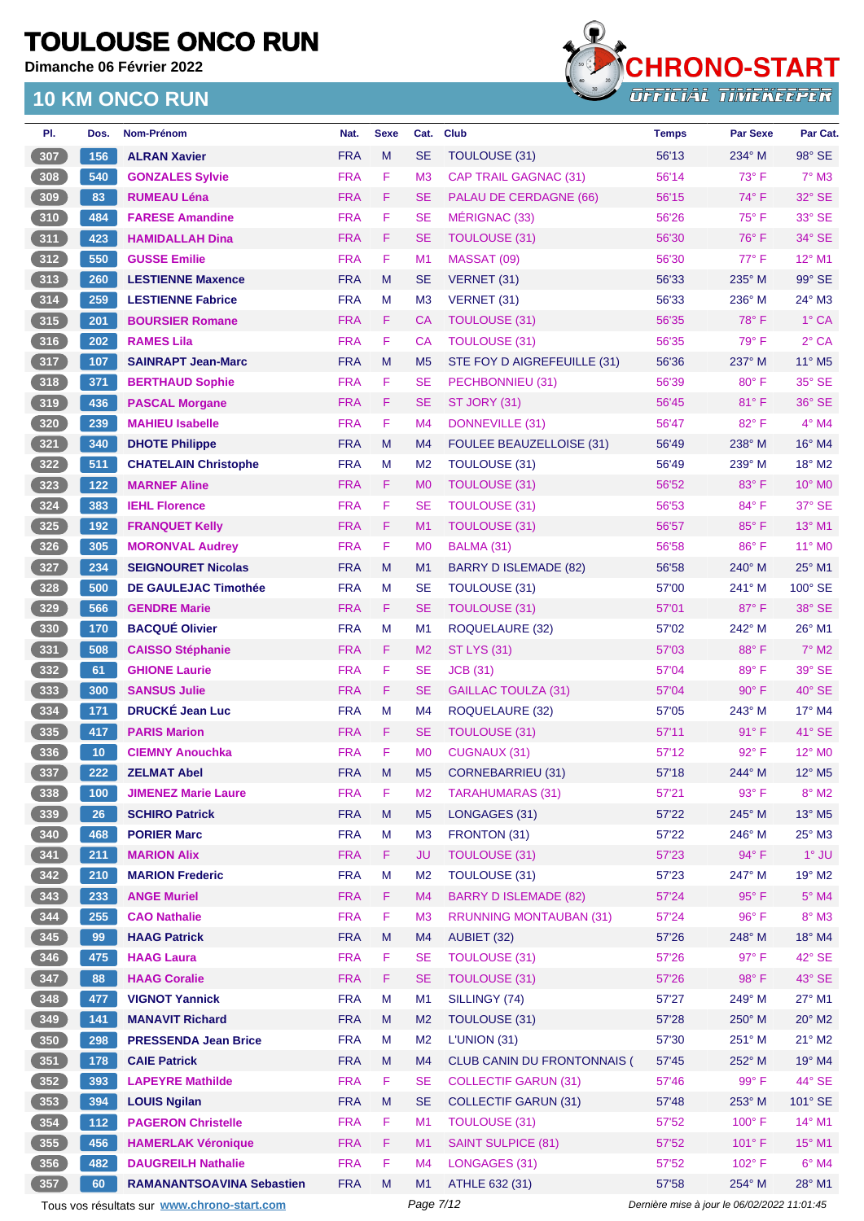**Dimanche 06 Février 2022**



| PI.                                              | Dos.  | Nom-Prénom                                  | Nat.       | <b>Sexe</b> | Cat.           | <b>Club</b>                        | <b>Temps</b>                                | <b>Par Sexe</b> | Par Cat.                  |
|--------------------------------------------------|-------|---------------------------------------------|------------|-------------|----------------|------------------------------------|---------------------------------------------|-----------------|---------------------------|
| 307                                              | 156   | <b>ALRAN Xavier</b>                         | <b>FRA</b> | M           | <b>SE</b>      | TOULOUSE (31)                      | 56'13                                       | 234° M          | 98° SE                    |
| 308                                              | 540   | <b>GONZALES Sylvie</b>                      | <b>FRA</b> | F           | M <sub>3</sub> | <b>CAP TRAIL GAGNAC (31)</b>       | 56'14                                       | 73° F           | $7^\circ$ M3              |
| 309                                              | 83    | <b>RUMEAU Léna</b>                          | <b>FRA</b> | F.          | <b>SE</b>      | PALAU DE CERDAGNE (66)             | 56'15                                       | $74^{\circ}$ F  | 32° SE                    |
| 310                                              | 484   | <b>FARESE Amandine</b>                      | <b>FRA</b> | F           | <b>SE</b>      | MÉRIGNAC (33)                      | 56'26                                       | 75° F           | 33° SE                    |
| $311$                                            | 423   | <b>HAMIDALLAH Dina</b>                      | <b>FRA</b> | F.          | <b>SE</b>      | <b>TOULOUSE (31)</b>               | 56'30                                       | $76^{\circ}$ F  | 34° SE                    |
| 312                                              | 550   | <b>GUSSE Emilie</b>                         | <b>FRA</b> | F           | M <sub>1</sub> | MASSAT (09)                        | 56'30                                       | 77° F           | 12° M1                    |
| 313                                              | 260   | <b>LESTIENNE Maxence</b>                    | <b>FRA</b> | M           | SE             | VERNET (31)                        | 56'33                                       | 235° M          | 99° SE                    |
| 314                                              | 259   | <b>LESTIENNE Fabrice</b>                    | <b>FRA</b> | M           | M3             | VERNET (31)                        | 56'33                                       | 236° M          | $24^\circ$ M3             |
| 315                                              | 201   | <b>BOURSIER Romane</b>                      | <b>FRA</b> | F.          | CA             | <b>TOULOUSE (31)</b>               | 56'35                                       | 78°F            | 1° CA                     |
| $316$                                            | 202   | <b>RAMES Lila</b>                           | <b>FRA</b> | F.          | СA             | <b>TOULOUSE (31)</b>               | 56'35                                       | 79° F           | $2°$ CA                   |
| 317                                              | 107   | <b>SAINRAPT Jean-Marc</b>                   | <b>FRA</b> | M           | M <sub>5</sub> | STE FOY D AIGREFEUILLE (31)        | 56'36                                       | 237° M          | 11° M5                    |
| 318                                              | 371   | <b>BERTHAUD Sophie</b>                      | <b>FRA</b> | F           | <b>SE</b>      | PECHBONNIEU (31)                   | 56'39                                       | $80^\circ$ F    | 35° SE                    |
| (319)                                            | 436   | <b>PASCAL Morgane</b>                       | <b>FRA</b> | F           | <b>SE</b>      | ST JORY (31)                       | 56'45                                       | $81^\circ$ F    | 36° SE                    |
| 320                                              | 239   | <b>MAHIEU Isabelle</b>                      | <b>FRA</b> | F           | M <sub>4</sub> | DONNEVILLE (31)                    | 56'47                                       | 82°F            | $4°$ M4                   |
| $321$                                            | 340   | <b>DHOTE Philippe</b>                       | <b>FRA</b> | M           | M <sub>4</sub> | <b>FOULEE BEAUZELLOISE (31)</b>    | 56'49                                       | 238° M          | 16° M4                    |
| 322                                              | 511   | <b>CHATELAIN Christophe</b>                 | <b>FRA</b> | M           | M <sub>2</sub> | TOULOUSE (31)                      | 56'49                                       | $239^\circ$ M   | 18° M2                    |
| $\frac{323}{ }$                                  | 122   | <b>MARNEF Aline</b>                         | <b>FRA</b> | F.          | M <sub>0</sub> | <b>TOULOUSE (31)</b>               | 56'52                                       | 83° F           | $10^{\circ}$ MO           |
| 324                                              | 383   | <b>IEHL Florence</b>                        | <b>FRA</b> | F.          | <b>SE</b>      | <b>TOULOUSE (31)</b>               | 56'53                                       | 84°F            | 37° SE                    |
| 325                                              | 192   | <b>FRANQUET Kelly</b>                       | <b>FRA</b> | F.          | M1             | <b>TOULOUSE (31)</b>               | 56'57                                       | 85° F           | 13° M1                    |
| 326                                              | 305   | <b>MORONVAL Audrey</b>                      | <b>FRA</b> | F.          | M <sub>0</sub> | BALMA (31)                         | 56'58                                       | 86°F            | 11° MO                    |
| 327                                              | 234   | <b>SEIGNOURET Nicolas</b>                   | <b>FRA</b> | M           | M1             | <b>BARRY D ISLEMADE (82)</b>       | 56'58                                       | 240° M          | 25° M1                    |
| 328                                              | 500   | <b>DE GAULEJAC Timothée</b>                 | <b>FRA</b> | M           | <b>SE</b>      | TOULOUSE (31)                      | 57'00                                       | $241^\circ$ M   | 100° SE                   |
| 329                                              | 566   | <b>GENDRE Marie</b>                         | <b>FRA</b> | F.          | <b>SE</b>      | <b>TOULOUSE (31)</b>               | 57'01                                       | 87°F            | 38° SE                    |
| $330$                                            | 170   | <b>BACQUÉ Olivier</b>                       | <b>FRA</b> | M           | M <sub>1</sub> | ROQUELAURE (32)                    | 57'02                                       | $242^\circ$ M   | 26° M1                    |
| 331                                              | 508   | <b>CAISSO Stéphanie</b>                     | <b>FRA</b> | F.          | M <sub>2</sub> | <b>ST LYS (31)</b>                 | 57'03                                       | 88°F            | $7^\circ$ M2              |
| 332                                              | 61    | <b>GHIONE Laurie</b>                        | <b>FRA</b> | F           | <b>SE</b>      | <b>JCB</b> (31)                    | 57'04                                       | 89°F            | 39° SE                    |
| $\begin{array}{ c c }\n\hline\n333\n\end{array}$ | 300   | <b>SANSUS Julie</b>                         | <b>FRA</b> | F.          | <b>SE</b>      | <b>GAILLAC TOULZA (31)</b>         | 57'04                                       | $90^\circ$ F    | $40^\circ$ SE             |
| $334$                                            | 171   | <b>DRUCKÉ Jean Luc</b>                      | <b>FRA</b> | M           | M4             | <b>ROQUELAURE (32)</b>             | 57'05                                       | 243° M          | 17° M4                    |
| $335$                                            | 417   | <b>PARIS Marion</b>                         | <b>FRA</b> | F.          | SE             | <b>TOULOUSE (31)</b>               | 57'11                                       | 91° F           | 41° SE                    |
| 336                                              | 10    | <b>CIEMNY Anouchka</b>                      | <b>FRA</b> | F           | M <sub>0</sub> | <b>CUGNAUX (31)</b>                | 57'12                                       | 92° F           | 12° MO                    |
| $\left(337\right)$                               | 222   | <b>ZELMAT Abel</b>                          | <b>FRA</b> | M           | M <sub>5</sub> | <b>CORNEBARRIEU (31)</b>           | 57'18                                       | 244° M          | 12° M5                    |
| $338$                                            | 100   | <b>JIMENEZ Marie Laure</b>                  | <b>FRA</b> | F.          | M <sub>2</sub> | <b>TARAHUMARAS (31)</b>            | 57'21                                       | 93° F           | $8^\circ$ M2              |
| 339                                              | 26    | <b>SCHIRO Patrick</b>                       | <b>FRA</b> | M           | M <sub>5</sub> | LONGAGES (31)                      | 57'22                                       | $245^\circ$ M   | $13^\circ$ M <sub>5</sub> |
| 340                                              | 468   | <b>PORIER Marc</b>                          | <b>FRA</b> | M           | M <sub>3</sub> | FRONTON (31)                       | 57'22                                       | $246^\circ$ M   | $25^{\circ}$ M3           |
| $\frac{341}{2}$                                  | 211   | <b>MARION Alix</b>                          | <b>FRA</b> | F           | <b>JU</b>      | <b>TOULOUSE (31)</b>               | 57'23                                       | 94° F           | $1°$ JU                   |
| $342$                                            | 210   | <b>MARION Frederic</b>                      | <b>FRA</b> | M           | M <sub>2</sub> | <b>TOULOUSE (31)</b>               | 57'23                                       | 247° M          | 19° M2                    |
| 343                                              | 233   | <b>ANGE Muriel</b>                          | <b>FRA</b> | F           | M4             | <b>BARRY D ISLEMADE (82)</b>       | 57'24                                       | 95° F           | $5^\circ$ M4              |
| 344                                              | 255   | <b>CAO Nathalie</b>                         | <b>FRA</b> | F           | M <sub>3</sub> | <b>RRUNNING MONTAUBAN (31)</b>     | 57'24                                       | 96°F            | $8^\circ$ M3              |
| 345                                              | 99    | <b>HAAG Patrick</b>                         | <b>FRA</b> | ${\sf M}$   | M4             | AUBIET (32)                        | 57'26                                       | 248° M          | 18° M4                    |
| 346                                              | 475   | <b>HAAG Laura</b>                           | <b>FRA</b> | F           | <b>SE</b>      | <b>TOULOUSE (31)</b>               | 57'26                                       | $97^\circ$ F    | 42° SE                    |
|                                                  |       |                                             | <b>FRA</b> | F.          | <b>SE</b>      | <b>TOULOUSE (31)</b>               |                                             | 98°F            |                           |
| 347                                              | 88    | <b>HAAG Coralie</b>                         |            |             |                |                                    | 57'26                                       |                 | $43^\circ$ SE             |
| 348                                              | 477   | <b>VIGNOT Yannick</b>                       | <b>FRA</b> | M           | M1             | SILLINGY (74)                      | 57'27                                       | 249° M          | 27° M1                    |
| 349                                              | 141   | <b>MANAVIT Richard</b>                      | <b>FRA</b> | M           | M <sub>2</sub> | <b>TOULOUSE (31)</b>               | 57'28                                       | 250° M          | $20^\circ$ M2             |
| 350                                              | 298   | <b>PRESSENDA Jean Brice</b>                 | <b>FRA</b> | M           | M <sub>2</sub> | L'UNION (31)                       | 57'30                                       | 251° M          | $21^\circ$ M2             |
| 351                                              | 178   | <b>CAIE Patrick</b>                         | <b>FRA</b> | M           | M4             | <b>CLUB CANIN DU FRONTONNAIS (</b> | 57'45                                       | 252° M          | 19° M4                    |
| $352$                                            | 393   | <b>LAPEYRE Mathilde</b>                     | <b>FRA</b> | F           | <b>SE</b>      | <b>COLLECTIF GARUN (31)</b>        | 57'46                                       | $99^\circ$ F    | 44° SE                    |
| 353                                              | 394   | <b>LOUIS Ngilan</b>                         | <b>FRA</b> | M           | <b>SE</b>      | <b>COLLECTIF GARUN (31)</b>        | 57'48                                       | 253° M          | 101° SE                   |
| 354                                              | $112$ | <b>PAGERON Christelle</b>                   | <b>FRA</b> | F           | M1             | <b>TOULOUSE (31)</b>               | 57'52                                       | 100°F           | 14° M1                    |
| 355                                              | 456   | <b>HAMERLAK Véronique</b>                   | <b>FRA</b> | F.          | M1             | <b>SAINT SULPICE (81)</b>          | 57'52                                       | $101^{\circ}$ F | $15^{\circ}$ M1           |
| 356                                              | 482   | <b>DAUGREILH Nathalie</b>                   | <b>FRA</b> | F           | M4             | LONGAGES (31)                      | 57'52                                       | 102° F          | $6^\circ$ M4              |
| 357                                              | 60    | <b>RAMANANTSOAVINA Sebastien</b>            | <b>FRA</b> | M           | M1             | ATHLE 632 (31)                     | 57'58                                       | 254° M          | 28° M1                    |
|                                                  |       | Tous vos résultats sur www.chrono-start.com |            |             | Page 7/12      |                                    | Dernière mise à jour le 06/02/2022 11:01:45 |                 |                           |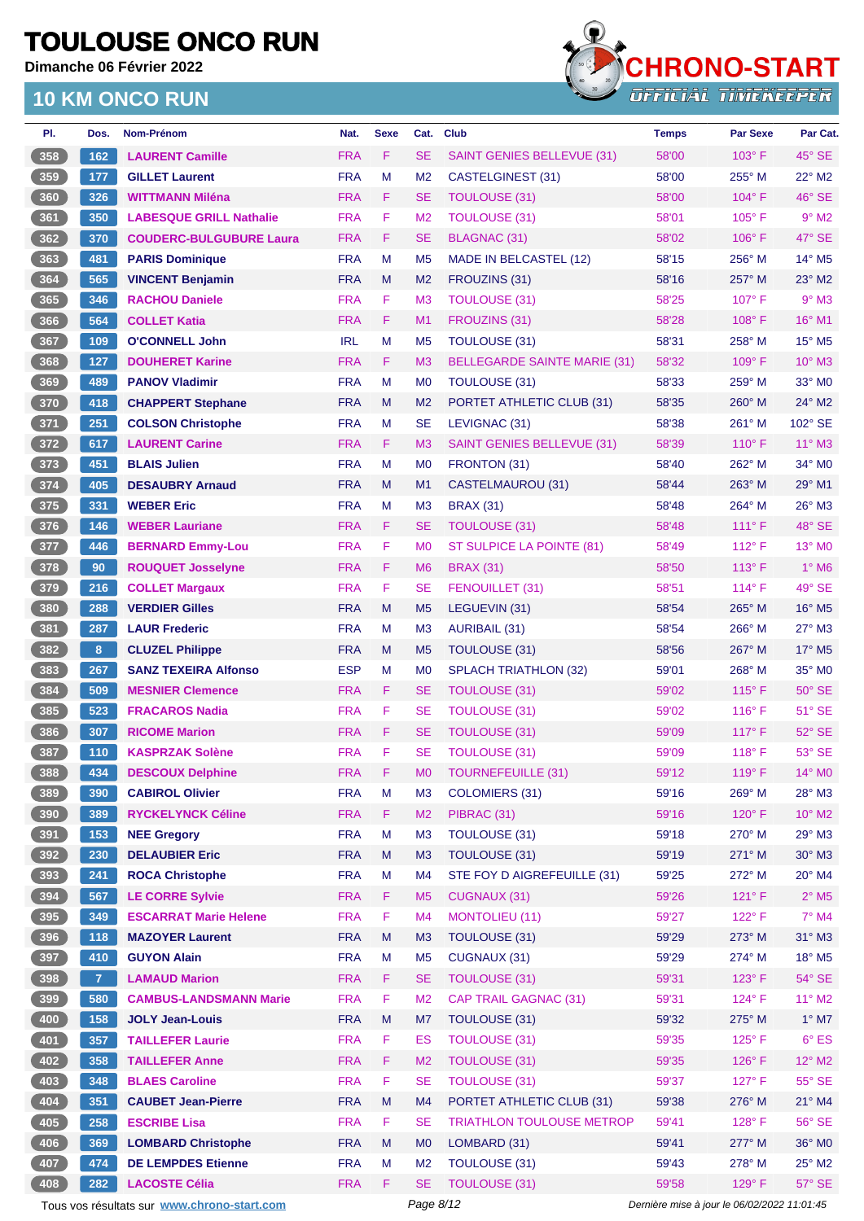**Dimanche 06 Février 2022**

#### **10 KM ONCO RUN**



| PI.  | Dos.           | <b>Nom-Prénom</b>              | Nat.       | <b>Sexe</b> | Cat.           | <b>Club</b>                         | <b>Temps</b> | <b>Par Sexe</b> | Par Cat.                    |
|------|----------------|--------------------------------|------------|-------------|----------------|-------------------------------------|--------------|-----------------|-----------------------------|
| 358  | 162            | <b>LAURENT Camille</b>         | <b>FRA</b> | F           | <b>SE</b>      | <b>SAINT GENIES BELLEVUE (31)</b>   | 58'00        | $103^\circ$ F   | $45^\circ$ SE               |
| 359  | 177            | <b>GILLET Laurent</b>          | <b>FRA</b> | M           | M <sub>2</sub> | CASTELGINEST (31)                   | 58'00        | 255° M          | $22^{\circ}$ M2             |
| 360  | 326            | <b>WITTMANN Miléna</b>         | <b>FRA</b> | F           | SE             | <b>TOULOUSE (31)</b>                | 58'00        | $104^\circ$ F   | 46° SE                      |
| 361  | 350            | <b>LABESQUE GRILL Nathalie</b> | <b>FRA</b> | F           | M <sub>2</sub> | <b>TOULOUSE (31)</b>                | 58'01        | $105^\circ$ F   | $9°$ M2                     |
| 362  | 370            | <b>COUDERC-BULGUBURE Laura</b> | <b>FRA</b> | F           | <b>SE</b>      | <b>BLAGNAC (31)</b>                 | 58'02        | $106^\circ$ F   | 47° SE                      |
| 363  | 481            | <b>PARIS Dominique</b>         | <b>FRA</b> | M           | M <sub>5</sub> | MADE IN BELCASTEL (12)              | 58'15        | 256° M          | 14° M5                      |
| 364  | 565            | <b>VINCENT Benjamin</b>        | <b>FRA</b> | M           | M <sub>2</sub> | FROUZINS (31)                       | 58'16        | $257^\circ$ M   | $23^\circ$ M2               |
| 365  | 346            | <b>RACHOU Daniele</b>          | <b>FRA</b> | F           | M <sub>3</sub> | <b>TOULOUSE (31)</b>                | 58'25        | $107^\circ$ F   | $9°$ M3                     |
| 366  | 564            | <b>COLLET Katia</b>            | <b>FRA</b> | F           | M1             | FROUZINS (31)                       | 58'28        | 108°F           | 16° M1                      |
| 367  | 109            | <b>O'CONNELL John</b>          | <b>IRL</b> | M           | M <sub>5</sub> | <b>TOULOUSE (31)</b>                | 58'31        | 258° M          | $15^{\circ}$ M <sub>5</sub> |
| 368  | 127            | <b>DOUHERET Karine</b>         | <b>FRA</b> | F           | M <sub>3</sub> | <b>BELLEGARDE SAINTE MARIE (31)</b> | 58'32        | $109^\circ$ F   | $10^{\circ}$ M3             |
| 369  | 489            | <b>PANOV Vladimir</b>          | <b>FRA</b> | M           | M <sub>0</sub> | <b>TOULOUSE (31)</b>                | 58'33        | $259°$ M        | $33^\circ$ MO               |
| 370  | 418            | <b>CHAPPERT Stephane</b>       | <b>FRA</b> | M           | M <sub>2</sub> | PORTET ATHLETIC CLUB (31)           | 58'35        | 260° M          | $24^{\circ}$ M2             |
| 371  | 251            | <b>COLSON Christophe</b>       | <b>FRA</b> | M           | SE             | LEVIGNAC (31)                       | 58'38        | $261^\circ$ M   | 102° SE                     |
| 372  | 617            | <b>LAURENT Carine</b>          | <b>FRA</b> | F.          | M <sub>3</sub> | <b>SAINT GENIES BELLEVUE (31)</b>   | 58'39        | $110^{\circ}$ F | $11^{\circ}$ M3             |
| 373  | 451            | <b>BLAIS Julien</b>            | <b>FRA</b> | M           | M <sub>0</sub> | FRONTON (31)                        | 58'40        | $262^\circ$ M   | 34° M0                      |
| 374  | 405            | <b>DESAUBRY Arnaud</b>         | <b>FRA</b> | M           | M1             | <b>CASTELMAUROU (31)</b>            | 58'44        | $263^\circ$ M   | 29° M1                      |
| 375  | 331            | <b>WEBER Eric</b>              | <b>FRA</b> | M           | M <sub>3</sub> | <b>BRAX (31)</b>                    | 58'48        | 264° M          | $26^\circ$ M3               |
| 376  | 146            | <b>WEBER Lauriane</b>          | <b>FRA</b> | F           | SE             | <b>TOULOUSE (31)</b>                | 58'48        | $111^\circ F$   | 48° SE                      |
| 377  | 446            | <b>BERNARD Emmy-Lou</b>        | <b>FRA</b> | F           | M <sub>0</sub> | ST SULPICE LA POINTE (81)           | 58'49        | $112^{\circ}$ F | $13^\circ$ MO               |
| 378  | 90             | <b>ROUQUET Josselyne</b>       | <b>FRA</b> | F           | M <sub>6</sub> | <b>BRAX (31)</b>                    | 58'50        | $113^\circ$ F   | $1^\circ$ M <sub>6</sub>    |
| 379  | 216            | <b>COLLET Margaux</b>          | <b>FRA</b> | F           | <b>SE</b>      | FENOUILLET (31)                     | 58'51        | 114°F           | 49° SE                      |
| 380  | 288            | <b>VERDIER Gilles</b>          | <b>FRA</b> | M           | M <sub>5</sub> | LEGUEVIN (31)                       | 58'54        | $265^\circ$ M   | $16^\circ$ M <sub>5</sub>   |
| 381  | 287            | <b>LAUR Frederic</b>           | <b>FRA</b> | M           | M <sub>3</sub> | <b>AURIBAIL (31)</b>                | 58'54        | $266^\circ$ M   | $27^\circ$ M3               |
| 382  | 8 <sup>1</sup> | <b>CLUZEL Philippe</b>         | <b>FRA</b> | M           | M <sub>5</sub> | <b>TOULOUSE (31)</b>                | 58'56        | $267^\circ$ M   | 17° M5                      |
| 383  | 267            | <b>SANZ TEXEIRA Alfonso</b>    | <b>ESP</b> | M           | M <sub>0</sub> | <b>SPLACH TRIATHLON (32)</b>        | 59'01        | 268° M          | 35° M0                      |
| 384  | 509            | <b>MESNIER Clemence</b>        | <b>FRA</b> | F           | SE             | <b>TOULOUSE (31)</b>                | 59'02        | $115^{\circ}$ F | $50^\circ$ SE               |
| 385  | 523            | <b>FRACAROS Nadia</b>          | <b>FRA</b> | F           | SE             | <b>TOULOUSE (31)</b>                | 59'02        | $116^{\circ}$ F | $51^\circ$ SE               |
| 386  | 307            | <b>RICOME Marion</b>           | <b>FRA</b> | F           | SE             | <b>TOULOUSE (31)</b>                | 59'09        | $117^\circ$ F   | $52^\circ$ SE               |
| 387  | 110            | <b>KASPRZAK Solène</b>         | <b>FRA</b> | F           | <b>SE</b>      | <b>TOULOUSE (31)</b>                | 59'09        | $118^{\circ}$ F | 53° SE                      |
| 388) | 434            | <b>DESCOUX Delphine</b>        | <b>FRA</b> | F           | <b>MO</b>      | <b>TOURNEFEUILLE (31)</b>           | 59'12        | 119°F           | $14^{\circ}$ MO             |
| 389  | 390            | <b>CABIROL Olivier</b>         | <b>FRA</b> | M           | M <sub>3</sub> | COLOMIERS (31)                      | 59'16        | 269° M          | $28^\circ$ M3               |
| 390  | 389            | <b>RYCKELYNCK Céline</b>       | <b>FRA</b> | F.          | M <sub>2</sub> | PIBRAC (31)                         | 59'16        | 120°F           | $10^{\circ}$ M2             |
| 391  | 153            | <b>NEE Gregory</b>             | <b>FRA</b> | M           | M <sub>3</sub> | TOULOUSE (31)                       | 59'18        | $270^\circ$ M   | $29°$ M3                    |
| 392  | 230            | <b>DELAUBIER Eric</b>          | <b>FRA</b> | M           | M <sub>3</sub> | TOULOUSE (31)                       | 59'19        | 271° M          | $30^\circ$ M3               |
| 393  | 241            | <b>ROCA Christophe</b>         | <b>FRA</b> | M           | M4             | STE FOY D AIGREFEUILLE (31)         | 59'25        | 272° M          | $20^\circ$ M4               |
| 394  | 567            | <b>LE CORRE Sylvie</b>         | <b>FRA</b> | F           | M <sub>5</sub> | <b>CUGNAUX (31)</b>                 | 59'26        | $121^\circ F$   | $2^\circ$ M5                |
| 395  | 349            | <b>ESCARRAT Marie Helene</b>   | <b>FRA</b> | F           | M4             | <b>MONTOLIEU (11)</b>               | 59'27        | 122° F          | $7^\circ$ M4                |
| 396  | 118            | <b>MAZOYER Laurent</b>         | <b>FRA</b> | ${\sf M}$   | M <sub>3</sub> | <b>TOULOUSE (31)</b>                | 59'29        | 273° M          | 31° M3                      |
| 397  | 410            | <b>GUYON Alain</b>             | <b>FRA</b> | M           | M <sub>5</sub> | CUGNAUX (31)                        | 59'29        | 274° M          | $18^\circ$ M <sub>5</sub>   |
| 398  | 7 <sup>7</sup> | <b>LAMAUD Marion</b>           | <b>FRA</b> | F.          | <b>SE</b>      | <b>TOULOUSE (31)</b>                | 59'31        | $123^\circ$ F   | $54^\circ$ SE               |
| 399  | 580            | <b>CAMBUS-LANDSMANN Marie</b>  | <b>FRA</b> | F           | M <sub>2</sub> | <b>CAP TRAIL GAGNAC (31)</b>        | 59'31        | $124^{\circ}$ F | $11^{\circ}$ M2             |
| 400  | 158            | <b>JOLY Jean-Louis</b>         | <b>FRA</b> | M           | M7             | TOULOUSE (31)                       | 59'32        | 275° M          | $1^\circ$ M7                |
| 401  | 357            | <b>TAILLEFER Laurie</b>        | <b>FRA</b> | F           | <b>ES</b>      | <b>TOULOUSE (31)</b>                | 59'35        | 125°F           | $6^{\circ}$ ES              |
| 402  | 358            | <b>TAILLEFER Anne</b>          | <b>FRA</b> | F           | M <sub>2</sub> | <b>TOULOUSE (31)</b>                | 59'35        | $126^\circ$ F   | $12^{\circ}$ M2             |
| 403  | 348            | <b>BLAES Caroline</b>          | <b>FRA</b> | F           | <b>SE</b>      | <b>TOULOUSE (31)</b>                | 59'37        | $127^\circ$ F   | 55° SE                      |
| 404  | 351            | <b>CAUBET Jean-Pierre</b>      | <b>FRA</b> | M           | M4             | PORTET ATHLETIC CLUB (31)           | 59'38        | 276° M          | $21^{\circ}$ M4             |
| 405  | 258            | <b>ESCRIBE Lisa</b>            | <b>FRA</b> | F           | SE             | <b>TRIATHLON TOULOUSE METROP</b>    | 59'41        | $128^\circ$ F   | 56° SE                      |
| 406  | 369            | <b>LOMBARD Christophe</b>      | <b>FRA</b> | M           | M <sub>0</sub> | LOMBARD (31)                        | 59'41        | 277° M          | 36° MO                      |
| 407  | 474            | <b>DE LEMPDES Etienne</b>      | <b>FRA</b> | M           | M <sub>2</sub> | TOULOUSE (31)                       | 59'43        | 278° M          | $25^\circ$ M2               |
| 408  | 282            | <b>LACOSTE Célia</b>           | <b>FRA</b> | F.          | <b>SE</b>      | <b>TOULOUSE (31)</b>                | 59'58        | 129°F           | $57^\circ$ SE               |
|      |                |                                |            |             |                |                                     |              |                 |                             |

Tous vos résultats sur **[www.chrono-start.com](https://www.chrono-start.com/)** Page 8/12 Dernière mise à jour le 06/02/2022 11:01:45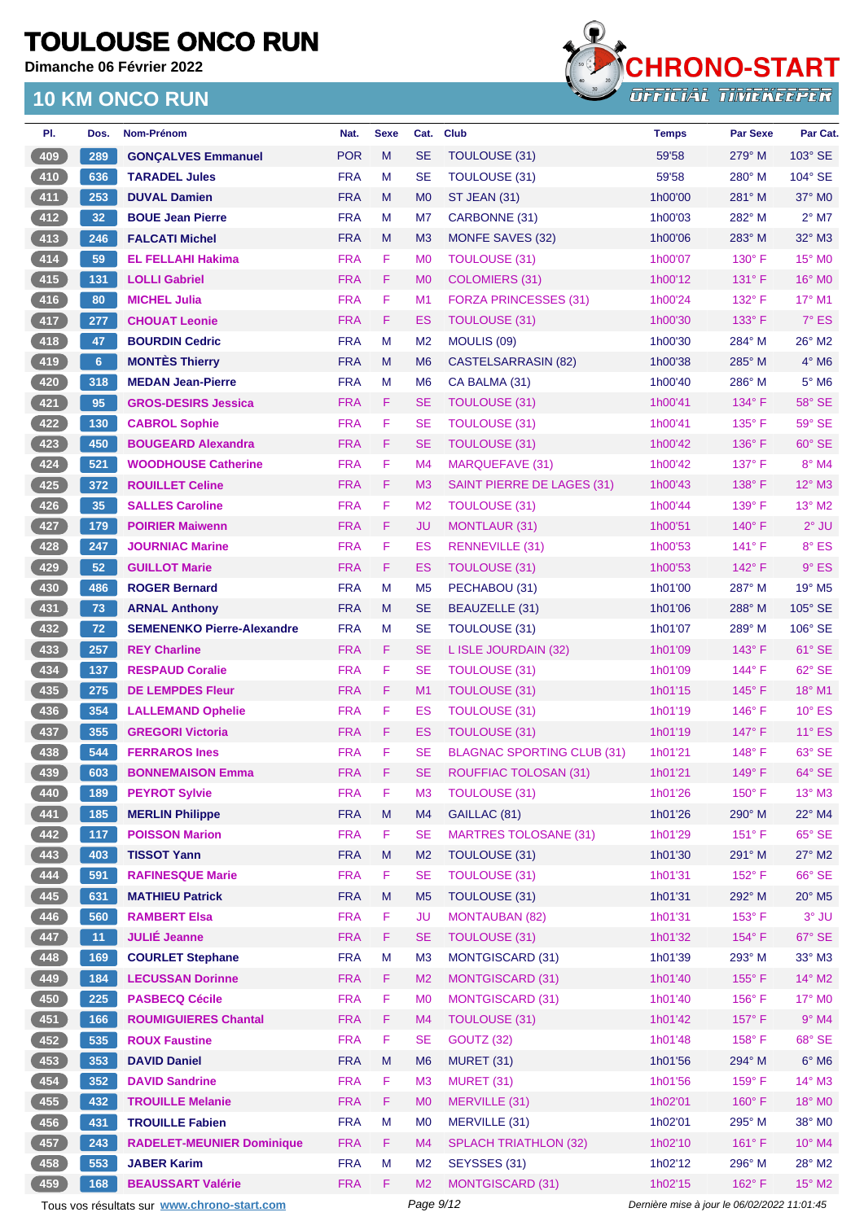**Dimanche 06 Février 2022**



| PI.                   | Dos.            | Nom-Prénom                                  | Nat.       | <b>Sexe</b> | Cat.           | <b>Club</b>                       | <b>Temps</b>                                | <b>Par Sexe</b> | Par Cat.                 |
|-----------------------|-----------------|---------------------------------------------|------------|-------------|----------------|-----------------------------------|---------------------------------------------|-----------------|--------------------------|
| 409                   | 289             | <b>GONÇALVES Emmanuel</b>                   | <b>POR</b> | M           | <b>SE</b>      | <b>TOULOUSE (31)</b>              | 59'58                                       | 279° M          | 103° SE                  |
| 410                   | 636             | <b>TARADEL Jules</b>                        | <b>FRA</b> | М           | <b>SE</b>      | TOULOUSE (31)                     | 59'58                                       | $280^\circ$ M   | $104^\circ$ SE           |
| 411                   | 253             | <b>DUVAL Damien</b>                         | <b>FRA</b> | M           | M <sub>0</sub> | <b>ST JEAN (31)</b>               | 1h00'00                                     | $281^\circ$ M   | 37° M0                   |
| 412                   | 32 <sub>2</sub> | <b>BOUE Jean Pierre</b>                     | <b>FRA</b> | M           | M7             | CARBONNE (31)                     | 1h00'03                                     | 282° M          | $2^{\circ}$ M7           |
| 413                   | 246             | <b>FALCATI Michel</b>                       | <b>FRA</b> | M           | M <sub>3</sub> | MONFE SAVES (32)                  | 1h00'06                                     | $283^\circ$ M   | $32^\circ$ M3            |
| 414                   | 59              | <b>EL FELLAHI Hakima</b>                    | <b>FRA</b> | F           | M <sub>0</sub> | <b>TOULOUSE (31)</b>              | 1h00'07                                     | 130° F          | 15° MO                   |
| 415                   | 131             | <b>LOLLI Gabriel</b>                        | <b>FRA</b> | F           | M <sub>0</sub> | <b>COLOMIERS (31)</b>             | 1h00'12                                     | $131^\circ$ F   | $16^\circ$ MO            |
| 416                   | 80              | <b>MICHEL Julia</b>                         | <b>FRA</b> | F           | M <sub>1</sub> | <b>FORZA PRINCESSES (31)</b>      | 1h00'24                                     | $132^{\circ}$ F | $17^\circ$ M1            |
| 417                   | 277             | <b>CHOUAT Leonie</b>                        | <b>FRA</b> | F           | ES             | TOULOUSE (31)                     | 1h00'30                                     | $133^\circ$ F   | $7°$ ES                  |
| 418                   | 47              | <b>BOURDIN Cedric</b>                       | <b>FRA</b> | M           | M <sub>2</sub> | MOULIS (09)                       | 1h00'30                                     | $284^\circ$ M   | 26° M2                   |
| 419                   | $6\phantom{a}$  | <b>MONTÈS Thierry</b>                       | <b>FRA</b> | M           | M <sub>6</sub> | <b>CASTELSARRASIN (82)</b>        | 1h00'38                                     | $285^\circ$ M   | $4^\circ$ M <sub>6</sub> |
| 420                   | 318             | <b>MEDAN Jean-Pierre</b>                    | <b>FRA</b> | М           | M <sub>6</sub> | CA BALMA (31)                     | 1h00'40                                     | 286° M          | $5^\circ$ M6             |
| 421                   | 95              | <b>GROS-DESIRS Jessica</b>                  | <b>FRA</b> | F.          | <b>SE</b>      | <b>TOULOUSE (31)</b>              | 1h00'41                                     | $134^\circ$ F   | 58° SE                   |
| 422                   | 130             | <b>CABROL Sophie</b>                        | <b>FRA</b> | F           | <b>SE</b>      | <b>TOULOUSE (31)</b>              | 1h00'41                                     | $135^{\circ}$ F | 59° SE                   |
| 423                   | 450             | <b>BOUGEARD Alexandra</b>                   | <b>FRA</b> | F           | <b>SE</b>      | <b>TOULOUSE (31)</b>              | 1h00'42                                     | 136° F          | 60° SE                   |
| 424                   | 521             | <b>WOODHOUSE Catherine</b>                  | <b>FRA</b> | F           | M4             | <b>MARQUEFAVE (31)</b>            | 1h00'42                                     | $137^\circ$ F   | 8° M4                    |
| 425                   | 372             | <b>ROUILLET Celine</b>                      | <b>FRA</b> | F           | M <sub>3</sub> | SAINT PIERRE DE LAGES (31)        | 1h00'43                                     | $138^\circ$ F   | 12° M3                   |
| 426                   | 35              | <b>SALLES Caroline</b>                      | <b>FRA</b> | F           | M <sub>2</sub> | <b>TOULOUSE (31)</b>              | 1h00'44                                     | $139^\circ$ F   | $13^{\circ}$ M2          |
| 427                   | 179             | <b>POIRIER Maiwenn</b>                      | <b>FRA</b> | F           | JU             | <b>MONTLAUR (31)</b>              | 1h00'51                                     | $140^\circ$ F   | $2°$ JU                  |
| 428                   | 247             | <b>JOURNIAC Marine</b>                      | <b>FRA</b> | F           | ES             | <b>RENNEVILLE (31)</b>            | 1h00'53                                     | $141^\circ$ F   | 8° ES                    |
| 429                   | 52 <sub>2</sub> | <b>GUILLOT Marie</b>                        | <b>FRA</b> | F.          | <b>ES</b>      | <b>TOULOUSE (31)</b>              | 1h00'53                                     | $142^\circ$ F   | $9°$ ES                  |
| 430                   | 486             | <b>ROGER Bernard</b>                        | <b>FRA</b> | M           | M <sub>5</sub> | PECHABOU (31)                     | 1h01'00                                     | $287^\circ$ M   | 19° M5                   |
| 431                   | 73              | <b>ARNAL Anthony</b>                        | <b>FRA</b> | M           | <b>SE</b>      | BEAUZELLE (31)                    | 1h01'06                                     | $288^\circ$ M   | 105° SE                  |
| 432                   | 72              | <b>SEMENENKO Pierre-Alexandre</b>           | <b>FRA</b> | M           | <b>SE</b>      | TOULOUSE (31)                     | 1h01'07                                     | 289° M          | $106^\circ$ SE           |
| 433                   | 257             | <b>REY Charline</b>                         | <b>FRA</b> | F.          | <b>SE</b>      | L ISLE JOURDAIN (32)              | 1h01'09                                     | $143^\circ$ F   | 61° SE                   |
| 434                   | 137             | <b>RESPAUD Coralie</b>                      | <b>FRA</b> | F           | <b>SE</b>      | <b>TOULOUSE (31)</b>              | 1h01'09                                     | $144^\circ$ F   | 62° SE                   |
| 435                   | 275             | <b>DE LEMPDES Fleur</b>                     | <b>FRA</b> | F.          | M1             | <b>TOULOUSE (31)</b>              | 1h01'15                                     | $145^\circ$ F   | $18^{\circ}$ M1          |
| 436                   | 354             | <b>LALLEMAND Ophelie</b>                    | <b>FRA</b> | F           | <b>ES</b>      | <b>TOULOUSE (31)</b>              | 1h01'19                                     | 146°F           | $10^{\circ}$ ES          |
| 437                   | 355             | <b>GREGORI Victoria</b>                     | <b>FRA</b> | F           | ES             | <b>TOULOUSE (31)</b>              | 1h01'19                                     | $147^\circ$ F   | $11^{\circ}$ ES          |
| 438                   | 544             | <b>FERRAROS Ines</b>                        | <b>FRA</b> | F           | SE             | <b>BLAGNAC SPORTING CLUB (31)</b> | 1h01'21                                     | $148^\circ$ F   | 63° SE                   |
| $\left( 439. \right)$ | 603             | <b>BONNEMAISON Emma</b>                     | <b>FRA</b> | F           | <b>SE</b>      | <b>ROUFFIAC TOLOSAN (31)</b>      | 1h01'21                                     | $149^\circ$ F   | $64^\circ$ SE            |
| 440                   | 189             | <b>PEYROT Sylvie</b>                        | <b>FRA</b> | F.          | M <sub>3</sub> | <b>TOULOUSE (31)</b>              | 1h01'26                                     | $150^\circ$ F   | $13^\circ$ M3            |
| 441                   | 185             | <b>MERLIN Philippe</b>                      | <b>FRA</b> | ${\sf M}$   | M4             | GAILLAC (81)                      | 1h01'26                                     | 290° M          | 22° M4                   |
| 442                   | 117             | <b>POISSON Marion</b>                       | <b>FRA</b> | F.          | <b>SE</b>      | <b>MARTRES TOLOSANE (31)</b>      | 1h01'29                                     | $151^\circ$ F   | 65° SE                   |
| 443                   | 403             | <b>TISSOT Yann</b>                          | <b>FRA</b> | M           | M <sub>2</sub> | TOULOUSE (31)                     | 1h01'30                                     | 291° M          | $27^\circ$ M2            |
| 444                   | 591             | <b>RAFINESQUE Marie</b>                     | <b>FRA</b> | F           | <b>SE</b>      | <b>TOULOUSE (31)</b>              | 1h01'31                                     | 152°F           | $66°$ SE                 |
| 445                   | 631             | <b>MATHIEU Patrick</b>                      | <b>FRA</b> | ${\sf M}$   | M <sub>5</sub> | <b>TOULOUSE (31)</b>              | 1h01'31                                     | 292° M          | $20^\circ$ M5            |
| 446                   | 560             | <b>RAMBERT Elsa</b>                         | <b>FRA</b> | F           | <b>JU</b>      | <b>MONTAUBAN (82)</b>             | 1h01'31                                     | $153^\circ$ F   | $3°$ JU                  |
| 447                   | 11              | <b>JULIÉ Jeanne</b>                         | <b>FRA</b> | F           | <b>SE</b>      | <b>TOULOUSE (31)</b>              | 1h01'32                                     | 154°F           | 67° SE                   |
| 448                   | 169             | <b>COURLET Stephane</b>                     | <b>FRA</b> | M           | M <sub>3</sub> | <b>MONTGISCARD (31)</b>           | 1h01'39                                     | 293° M          | $33^\circ$ M3            |
| 449                   | 184             | <b>LECUSSAN Dorinne</b>                     | <b>FRA</b> | F           | M <sub>2</sub> | <b>MONTGISCARD (31)</b>           | 1h01'40                                     | $155^{\circ}$ F | $14^{\circ}$ M2          |
| 450                   | 225             | <b>PASBECQ Cécile</b>                       | <b>FRA</b> | F           | M <sub>0</sub> | <b>MONTGISCARD (31)</b>           | 1h01'40                                     | 156°F           | 17° M0                   |
| 451                   | 166             | <b>ROUMIGUIERES Chantal</b>                 | <b>FRA</b> | F           | M4             | <b>TOULOUSE (31)</b>              | 1h01'42                                     | $157^\circ$ F   | $9°$ M4                  |
| 452                   | 535             | <b>ROUX Faustine</b>                        | <b>FRA</b> | F           | <b>SE</b>      | <b>GOUTZ (32)</b>                 | 1h01'48                                     | 158°F           | 68° SE                   |
| 453                   | 353             | <b>DAVID Daniel</b>                         | <b>FRA</b> | M           | M <sub>6</sub> | MURET (31)                        | 1h01'56                                     | 294° M          | $6^\circ$ M6             |
| 454                   | 352             | <b>DAVID Sandrine</b>                       | <b>FRA</b> | F           | M3             | <b>MURET (31)</b>                 | 1h01'56                                     | $159^\circ$ F   | 14° M3                   |
| 455                   | 432             | <b>TROUILLE Melanie</b>                     | <b>FRA</b> | F           | M <sub>0</sub> | MERVILLE (31)                     | 1h02'01                                     | $160^\circ$ F   | 18° M0                   |
| 456                   | 431             | <b>TROUILLE Fabien</b>                      | <b>FRA</b> | M           | M <sub>0</sub> | MERVILLE (31)                     | 1h02'01                                     | 295° M          | 38° MO                   |
| 457                   | 243             | <b>RADELET-MEUNIER Dominique</b>            | <b>FRA</b> | F           | M4             | <b>SPLACH TRIATHLON (32)</b>      | 1h02'10                                     | $161^\circ$ F   | $10^{\circ}$ M4          |
| 458                   | 553             | <b>JABER Karim</b>                          | <b>FRA</b> | M           | M <sub>2</sub> | SEYSSES (31)                      | 1h02'12                                     | 296° M          | 28° M2                   |
| 459                   | 168             | <b>BEAUSSART Valérie</b>                    | <b>FRA</b> | F           | M <sub>2</sub> | <b>MONTGISCARD (31)</b>           | 1h02'15                                     | 162°F           | $15^{\circ}$ M2          |
|                       |                 | Tous vos résultats sur www.chrono-start.com |            |             | Page 9/12      |                                   | Dernière mise à jour le 06/02/2022 11:01:45 |                 |                          |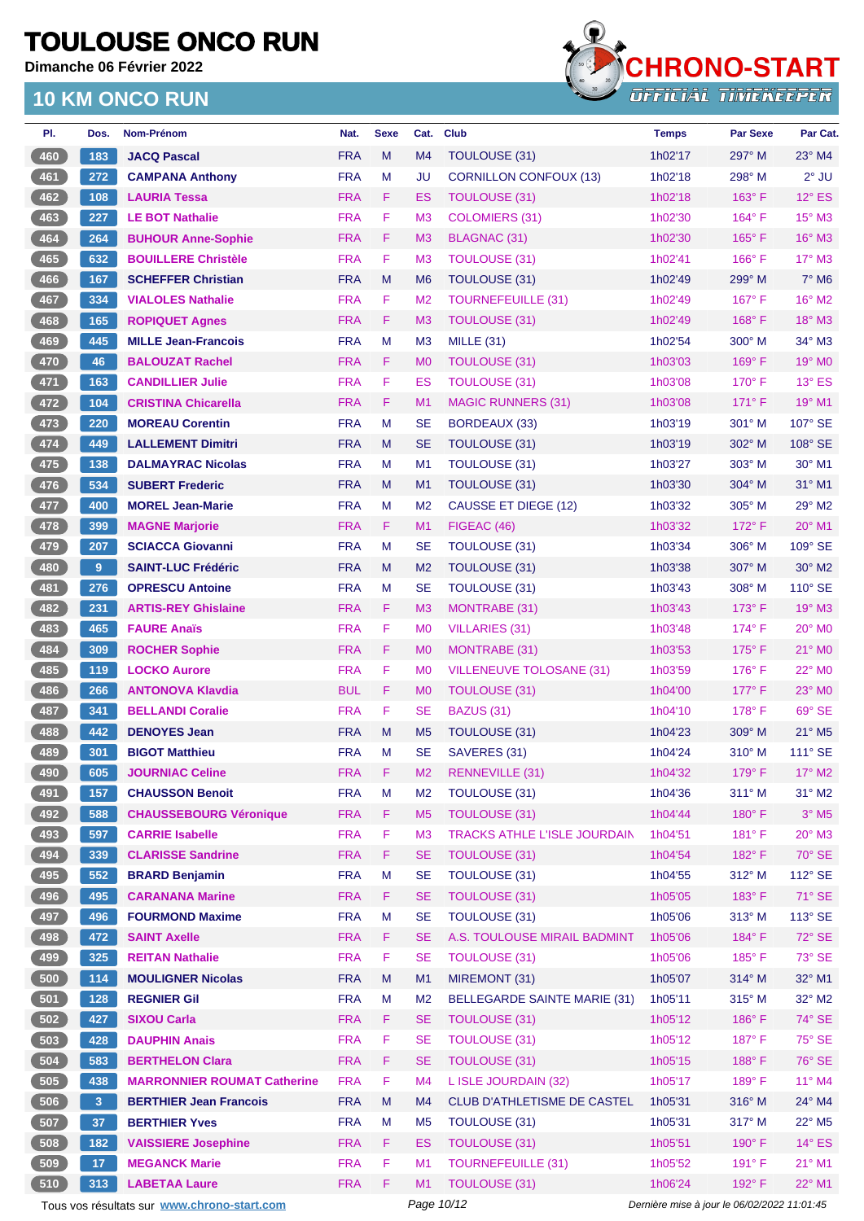**Dimanche 06 Février 2022**



| PI.        | Dos.            | Nom-Prénom                                     | Nat.                     | <b>Sexe</b> | Cat.            | <b>Club</b>                         | <b>Temps</b>       | <b>Par Sexe</b>                             | Par Cat.                    |
|------------|-----------------|------------------------------------------------|--------------------------|-------------|-----------------|-------------------------------------|--------------------|---------------------------------------------|-----------------------------|
| 460        | 183             | <b>JACQ Pascal</b>                             | <b>FRA</b>               | M           | M4              | TOULOUSE (31)                       | 1h02'17            | 297° M                                      | $23^\circ$ M4               |
| 461        | 272             | <b>CAMPANA Anthony</b>                         | <b>FRA</b>               | M           | JU              | <b>CORNILLON CONFOUX (13)</b>       | 1h02'18            | $298^\circ$ M                               | $2^{\circ}$ JU              |
| 462        | 108             | <b>LAURIA Tessa</b>                            | <b>FRA</b>               | F.          | ES              | <b>TOULOUSE (31)</b>                | 1h02'18            | $163^\circ$ F                               | $12^{\circ}$ ES             |
| 463        | 227             | <b>LE BOT Nathalie</b>                         | <b>FRA</b>               | F.          | M <sub>3</sub>  | <b>COLOMIERS (31)</b>               | 1h02'30            | $164^\circ$ F                               | 15° M3                      |
| 464        | 264             | <b>BUHOUR Anne-Sophie</b>                      | <b>FRA</b>               | F.          | M3              | BLAGNAC (31)                        | 1h02'30            | $165^\circ$ F                               | 16° M3                      |
| 465        | 632             | <b>BOUILLERE Christèle</b>                     | <b>FRA</b>               | F           | M <sub>3</sub>  | <b>TOULOUSE (31)</b>                | 1h02'41            | 166°F                                       | $17^\circ$ M3               |
| 466        | 167             | <b>SCHEFFER Christian</b>                      | <b>FRA</b>               | M           | M <sub>6</sub>  | TOULOUSE (31)                       | 1h02'49            | 299° M                                      | $7^\circ$ M <sub>6</sub>    |
| 467        | 334             | <b>VIALOLES Nathalie</b>                       | <b>FRA</b>               | F           | M <sub>2</sub>  | <b>TOURNEFEUILLE (31)</b>           | 1h02'49            | $167^\circ$ F                               | $16^{\circ}$ M2             |
| 468        | 165             | <b>ROPIQUET Agnes</b>                          | <b>FRA</b>               | F.          | M <sub>3</sub>  | <b>TOULOUSE (31)</b>                | 1h02'49            | $168^\circ$ F                               | $18^\circ$ M3               |
| 469        | 445             | <b>MILLE Jean-Francois</b>                     | <b>FRA</b>               | M           | M <sub>3</sub>  | <b>MILLE (31)</b>                   | 1h02'54            | $300^\circ$ M                               | $34^\circ$ M3               |
| 470        | 46              | <b>BALOUZAT Rachel</b>                         | <b>FRA</b>               | F.          | M <sub>0</sub>  | <b>TOULOUSE (31)</b>                | 1h03'03            | $169^\circ$ F                               | 19° M0                      |
| 471        | 163             | <b>CANDILLIER Julie</b>                        | <b>FRA</b>               | F.          | ES              | <b>TOULOUSE (31)</b>                | 1h03'08            | $170^\circ$ F                               | $13^\circ$ ES               |
| 472        | 104             | <b>CRISTINA Chicarella</b>                     | <b>FRA</b>               | F.          | M1              | <b>MAGIC RUNNERS (31)</b>           | 1h03'08            | $171^\circ$ F                               | $19^\circ$ M1               |
| 473        | 220             | <b>MOREAU Corentin</b>                         | <b>FRA</b>               | M           | SE              | <b>BORDEAUX (33)</b>                | 1h03'19            | 301° M                                      | 107° SE                     |
| 474        | 449             | <b>LALLEMENT Dimitri</b>                       | <b>FRA</b>               | M           | SE              | TOULOUSE (31)                       | 1h03'19            | $302^\circ$ M                               | 108° SE                     |
| 475        | 138             | <b>DALMAYRAC Nicolas</b>                       | <b>FRA</b>               | M           | M1              | TOULOUSE (31)                       | 1h03'27            | $303^\circ$ M                               | $30^\circ$ M1               |
| 476        | 534             | <b>SUBERT Frederic</b>                         | <b>FRA</b>               | M           | M1              | <b>TOULOUSE (31)</b>                | 1h03'30            | $304^\circ$ M                               | 31° M1                      |
| 477        | 400             | <b>MOREL Jean-Marie</b>                        | <b>FRA</b>               | M           | M <sub>2</sub>  | <b>CAUSSE ET DIEGE (12)</b>         | 1h03'32            | 305° M                                      | 29° M2                      |
| 478        | 399             | <b>MAGNE Marjorie</b>                          | <b>FRA</b>               | F.          | M1              | FIGEAC (46)                         | 1h03'32            | $172^\circ$ F                               | $20^\circ$ M1               |
| 479        | 207             | <b>SCIACCA Giovanni</b>                        | <b>FRA</b>               | м           | SE              | TOULOUSE (31)                       | 1h03'34            | $306^\circ$ M                               | 109° SE                     |
| 480        | 9               | <b>SAINT-LUC Frédéric</b>                      | <b>FRA</b>               | M           | M <sub>2</sub>  | TOULOUSE (31)                       | 1h03'38            | 307° M                                      | $30^\circ$ M2               |
| 481        | 276             | <b>OPRESCU Antoine</b>                         | <b>FRA</b>               | M           | <b>SE</b>       | TOULOUSE (31)                       | 1h03'43            | 308° M                                      | 110° SE                     |
| 482        | 231             | <b>ARTIS-REY Ghislaine</b>                     | <b>FRA</b>               | F.          | M <sub>3</sub>  | MONTRABE (31)                       | 1h03'43            | $173^\circ$ F                               | 19° M3                      |
| 483        | 465             | <b>FAURE Anaïs</b>                             | <b>FRA</b>               | F           | M <sub>0</sub>  | <b>VILLARIES (31)</b>               | 1h03'48            | $174^\circ$ F                               | $20^\circ$ M <sub>0</sub>   |
| 484        | 309             | <b>ROCHER Sophie</b>                           | <b>FRA</b>               | F.          | M <sub>0</sub>  | <b>MONTRABE (31)</b>                | 1h03'53            | $175^\circ$ F                               | 21° MO                      |
| 485        | 119             | <b>LOCKO Aurore</b>                            | <b>FRA</b>               | F.          | M <sub>0</sub>  | VILLENEUVE TOLOSANE (31)            | 1h03'59            | $176^\circ$ F                               | 22° M <sub>0</sub>          |
| 486        | 266             | <b>ANTONOVA Klavdia</b>                        | <b>BUL</b>               | F.          | M <sub>0</sub>  | TOULOUSE (31)                       | 1h04'00            | $177^\circ$ F                               | $23^\circ$ MO               |
| 487        | 341             | <b>BELLANDI Coralie</b>                        | <b>FRA</b>               | F.          | <b>SE</b>       | <b>BAZUS (31)</b>                   | 1h04'10            | $178^\circ$ F                               | 69° SE                      |
| 488        | 442             | <b>DENOYES Jean</b>                            | <b>FRA</b>               | M           | M <sub>5</sub>  | TOULOUSE (31)                       | 1h04'23            | 309° M                                      | $21^\circ$ M <sub>5</sub>   |
| 489        | 301             | <b>BIGOT Matthieu</b>                          | <b>FRA</b>               | M           | <b>SE</b>       | SAVERES (31)                        | 1h04'24            | $310^\circ$ M                               | $111^\circ$ SE              |
| 490        | 605             | <b>JOURNIAC Celine</b>                         | <b>FRA</b>               | F.          | M2              | RENNEVILLE (31)                     | 1h04'32            | $179^\circ$ F                               | $17^\circ$ M2               |
| 491        | 157             | <b>CHAUSSON Benoit</b>                         | <b>FRA</b>               | M           | M <sub>2</sub>  | <b>TOULOUSE (31)</b>                | 1h04'36            | $311^\circ$ M                               | $31^\circ$ M2               |
| 492        | 588             | <b>CHAUSSEBOURG Véronique</b>                  | <b>FRA</b>               | F.          | M <sub>5</sub>  | <b>TOULOUSE (31)</b>                | 1h04'44            | $180^\circ$ F                               | $3^\circ$ M5                |
| 493        | 597             | <b>CARRIE Isabelle</b>                         | <b>FRA</b>               | F           | M <sub>3</sub>  | <b>TRACKS ATHLE L'ISLE JOURDAIN</b> | 1h04'51            | $181^\circ$ F                               | $20^\circ$ M3               |
| 494        | 339             | <b>CLARISSE Sandrine</b>                       | <b>FRA</b>               | F           | <b>SE</b>       | <b>TOULOUSE (31)</b>                | 1h04'54            | 182° F                                      | 70° SE                      |
| 495        | 552             | <b>BRARD Benjamin</b>                          | <b>FRA</b>               | M           | <b>SE</b>       | TOULOUSE (31)                       | 1h04'55            | $312^\circ$ M                               | 112° SE                     |
| 496        | 495             | <b>CARANANA Marine</b>                         | <b>FRA</b>               | F           | <b>SE</b>       | <b>TOULOUSE (31)</b>                | 1h05'05            | 183° F                                      | 71° SE                      |
| 497        | 496             | <b>FOURMOND Maxime</b>                         | <b>FRA</b>               | M           | <b>SE</b>       | TOULOUSE (31)                       | 1h05'06            | $313^\circ$ M                               | 113° SE                     |
| 498        | 472             | <b>SAINT Axelle</b>                            | <b>FRA</b>               | F.          | <b>SE</b>       | A.S. TOULOUSE MIRAIL BADMINT        | 1h05'06            | $184^\circ$ F                               | 72° SE                      |
| 499        |                 |                                                |                          | F           |                 |                                     |                    |                                             |                             |
|            | 325<br>114      | <b>REITAN Nathalie</b>                         | <b>FRA</b><br><b>FRA</b> | M           | <b>SE</b><br>M1 | <b>TOULOUSE (31)</b>                | 1h05'06            | 185°F<br>314° M                             | 73° SE<br>32° M1            |
| 500<br>501 |                 | <b>MOULIGNER Nicolas</b><br><b>REGNIER Gil</b> | <b>FRA</b>               | M           | M <sub>2</sub>  | MIREMONT (31)                       | 1h05'07<br>1h05'11 | 315° M                                      | $32^\circ$ M2               |
|            | 128             |                                                |                          |             |                 | <b>BELLEGARDE SAINTE MARIE (31)</b> |                    |                                             |                             |
| $502$      | 427             | <b>SIXOU Carla</b>                             | <b>FRA</b>               | F.          | <b>SE</b>       | <b>TOULOUSE (31)</b>                | 1h05'12            | $186^\circ$ F                               | $74^\circ$ SE               |
| 503        | 428             | <b>DAUPHIN Anais</b>                           | <b>FRA</b>               | F           | <b>SE</b>       | <b>TOULOUSE (31)</b>                | 1h05'12            | $187^\circ$ F                               | 75° SE                      |
| 504        | 583             | <b>BERTHELON Clara</b>                         | <b>FRA</b>               | F.          | <b>SE</b>       | <b>TOULOUSE (31)</b>                | 1h05'15            | 188°F                                       | 76° SE                      |
| 505        | 438             | <b>MARRONNIER ROUMAT Catherine</b>             | <b>FRA</b>               | F           | M4              | L ISLE JOURDAIN (32)                | 1h05'17            | 189°F                                       | $11^{\circ}$ M4             |
| 506        | 3 <sup>°</sup>  | <b>BERTHIER Jean Francois</b>                  | <b>FRA</b>               | M           | M4              | <b>CLUB D'ATHLETISME DE CASTEL</b>  | 1h05'31            | 316° M                                      | 24° M4                      |
| 507        | 37              | <b>BERTHIER Yves</b>                           | <b>FRA</b>               | M           | M <sub>5</sub>  | TOULOUSE (31)                       | 1h05'31            | $317^\circ$ M                               | $22^{\circ}$ M <sub>5</sub> |
| 508        | 182             | <b>VAISSIERE Josephine</b>                     | <b>FRA</b>               | F           | <b>ES</b>       | <b>TOULOUSE (31)</b>                | 1h05'51            | 190° F                                      | $14^\circ$ ES               |
| 509        | 17 <sub>2</sub> | <b>MEGANCK Marie</b>                           | <b>FRA</b>               | F           | M1              | <b>TOURNEFEUILLE (31)</b>           | 1h05'52            | $191^\circ$ F                               | 21° M1                      |
| (510)      | 313             | <b>LABETAA Laure</b>                           | <b>FRA</b>               | F           | M1              | <b>TOULOUSE (31)</b>                | 1h06'24            | 192° F                                      | 22° M1                      |
|            |                 | Tous vos résultats sur www.chrono-start.com    |                          |             | Page 10/12      |                                     |                    | Dernière mise à jour le 06/02/2022 11:01:45 |                             |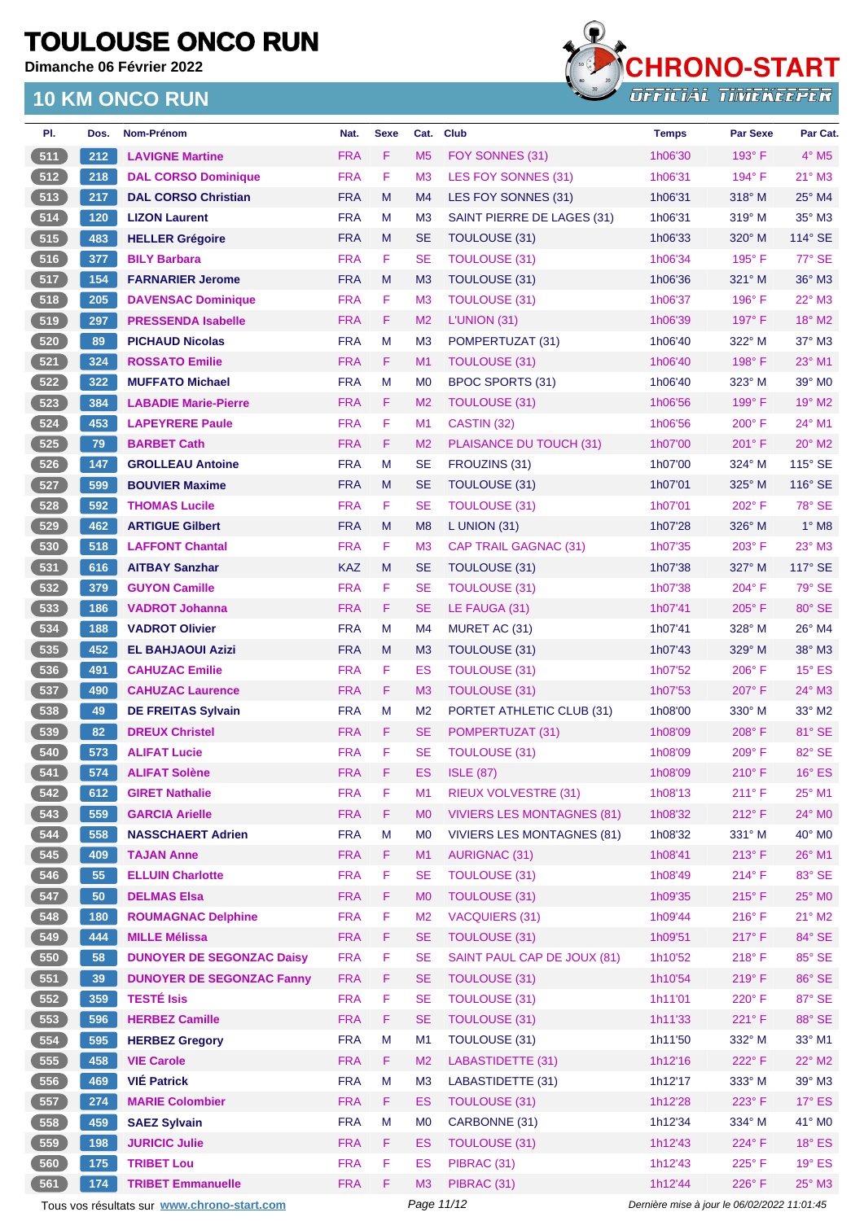**Dimanche 06 Février 2022**



| PI.        | Dos. | Nom-Prénom                                  | Nat.       | <b>Sexe</b> | Cat.           | <b>Club</b>                       | <b>Temps</b>                                | <b>Par Sexe</b> | Par Cat.                 |
|------------|------|---------------------------------------------|------------|-------------|----------------|-----------------------------------|---------------------------------------------|-----------------|--------------------------|
| 511        | 212  | <b>LAVIGNE Martine</b>                      | <b>FRA</b> | F           | M <sub>5</sub> | FOY SONNES (31)                   | 1h06'30                                     | $193^\circ$ F   | $4^\circ$ M <sub>5</sub> |
| 512        | 218  | <b>DAL CORSO Dominique</b>                  | <b>FRA</b> | F           | M <sub>3</sub> | LES FOY SONNES (31)               | 1h06'31                                     | 194° F          | $21^\circ$ M3            |
| 513        | 217  | <b>DAL CORSO Christian</b>                  | <b>FRA</b> | M           | M4             | LES FOY SONNES (31)               | 1h06'31                                     | $318^\circ$ M   | 25° M4                   |
| 514        | 120  | <b>LIZON Laurent</b>                        | <b>FRA</b> | M           | M <sub>3</sub> | SAINT PIERRE DE LAGES (31)        | 1h06'31                                     | 319° M          | 35° M3                   |
| 515        | 483  | <b>HELLER Grégoire</b>                      | <b>FRA</b> | M           | <b>SE</b>      | TOULOUSE (31)                     | 1h06'33                                     | $320^\circ$ M   | 114° SE                  |
| 516        | 377  | <b>BILY Barbara</b>                         | <b>FRA</b> | F           | <b>SE</b>      | <b>TOULOUSE (31)</b>              | 1h06'34                                     | $195^\circ$ F   | 77° SE                   |
| 6517       | 154  | <b>FARNARIER Jerome</b>                     | <b>FRA</b> | M           | M <sub>3</sub> | <b>TOULOUSE (31)</b>              | 1h06'36                                     | 321° M          | 36° M3                   |
| 518        | 205  | <b>DAVENSAC Dominique</b>                   | <b>FRA</b> | F           | M <sub>3</sub> | <b>TOULOUSE (31)</b>              | 1h06'37                                     | 196°F           | 22° M3                   |
| $-519$     | 297  | <b>PRESSENDA Isabelle</b>                   | <b>FRA</b> | F           | M <sub>2</sub> | L'UNION (31)                      | 1h06'39                                     | 197° F          | 18° M2                   |
| 520        | 89   | <b>PICHAUD Nicolas</b>                      | <b>FRA</b> | M           | M <sub>3</sub> | POMPERTUZAT (31)                  | 1h06'40                                     | 322° M          | 37° M3                   |
| 521        | 324  | <b>ROSSATO Emilie</b>                       | <b>FRA</b> | F           | M <sub>1</sub> | <b>TOULOUSE (31)</b>              | 1h06'40                                     | $198^\circ$ F   | 23° M1                   |
| 522        | 322  | <b>MUFFATO Michael</b>                      | <b>FRA</b> | M           | M <sub>0</sub> | <b>BPOC SPORTS (31)</b>           | 1h06'40                                     | $323^\circ$ M   | 39° M0                   |
| 523        | 384  | <b>LABADIE Marie-Pierre</b>                 | <b>FRA</b> | F.          | M <sub>2</sub> | <b>TOULOUSE (31)</b>              | 1h06'56                                     | $199^\circ$ F   | 19° M2                   |
| $524$      | 453  | <b>LAPEYRERE Paule</b>                      | <b>FRA</b> | F           | M <sub>1</sub> | CASTIN (32)                       | 1h06'56                                     | $200^\circ$ F   | 24° M1                   |
| 525        | 79   | <b>BARBET Cath</b>                          | <b>FRA</b> | F           | M <sub>2</sub> | PLAISANCE DU TOUCH (31)           | 1h07'00                                     | 201° F          | $20^\circ$ M2            |
| 526        | 147  | <b>GROLLEAU Antoine</b>                     | <b>FRA</b> | M           | <b>SE</b>      | FROUZINS (31)                     | 1h07'00                                     | 324° M          | 115° SE                  |
| 527        | 599  | <b>BOUVIER Maxime</b>                       | <b>FRA</b> | M           | <b>SE</b>      | <b>TOULOUSE (31)</b>              | 1h07'01                                     | 325° M          | 116° SE                  |
| 528        | 592  | <b>THOMAS Lucile</b>                        | <b>FRA</b> | F           | <b>SE</b>      | <b>TOULOUSE (31)</b>              | 1h07'01                                     | 202° F          | 78° SE                   |
| 529        | 462  | <b>ARTIGUE Gilbert</b>                      | <b>FRA</b> | M           | M <sub>8</sub> | L UNION (31)                      | 1h07'28                                     | $326^\circ$ M   | $1^\circ$ M <sub>8</sub> |
| 530        | 518  | <b>LAFFONT Chantal</b>                      | <b>FRA</b> | F           | M3             | <b>CAP TRAIL GAGNAC (31)</b>      | 1h07'35                                     | 203° F          | 23° M3                   |
| $531$      | 616  | <b>AITBAY Sanzhar</b>                       | <b>KAZ</b> | M           | <b>SE</b>      | <b>TOULOUSE (31)</b>              | 1h07'38                                     | $327^\circ$ M   | 117° SE                  |
| $532$      | 379  | <b>GUYON Camille</b>                        | <b>FRA</b> | F           | SE             | TOULOUSE (31)                     | 1h07'38                                     | 204°F           | 79° SE                   |
| 533        | 186  | <b>VADROT Johanna</b>                       | <b>FRA</b> | F           | <b>SE</b>      |                                   | 1h07'41                                     | $205^{\circ}$ F | 80° SE                   |
|            | 188  |                                             | <b>FRA</b> | M           | M <sub>4</sub> | LE FAUGA (31)                     |                                             | 328° M          | 26° M4                   |
| 534        |      | <b>VADROT Olivier</b>                       | <b>FRA</b> |             |                | MURET AC (31)                     | 1h07'41                                     |                 | 38° M3                   |
| 535<br>536 | 452  | <b>EL BAHJAOUI Azizi</b>                    |            | M<br>F      | M <sub>3</sub> | TOULOUSE (31)                     | 1h07'43                                     | 329° M          |                          |
|            | 491  | <b>CAHUZAC Emilie</b>                       | <b>FRA</b> |             | ES             | <b>TOULOUSE (31)</b>              | 1h07'52                                     | 206°F           | $15^\circ$ ES            |
| 537        | 490  | <b>CAHUZAC Laurence</b>                     | <b>FRA</b> | F           | M <sub>3</sub> | <b>TOULOUSE (31)</b>              | 1h07'53                                     | 207°F           | 24° M3                   |
| 538        | 49   | <b>DE FREITAS Sylvain</b>                   | <b>FRA</b> | M           | M <sub>2</sub> | PORTET ATHLETIC CLUB (31)         | 1h08'00                                     | $330^\circ$ M   | 33° M2                   |
| (539)      | 82   | <b>DREUX Christel</b>                       | <b>FRA</b> | F.          | <b>SE</b>      | POMPERTUZAT (31)                  | 1h08'09                                     | 208°F           | 81° SE                   |
| 540        | 573  | <b>ALIFAT Lucie</b>                         | <b>FRA</b> | F           | <b>SE</b>      | <b>TOULOUSE (31)</b>              | 1h08'09                                     | 209°F           | 82° SE                   |
| 541        | 574  | <b>ALIFAT Solène</b>                        | <b>FRA</b> | F           | ES             | <b>ISLE (87)</b>                  | 1h08'09                                     | $210^{\circ}$ F | $16^\circ$ ES            |
| 542        | 612  | <b>GIRET Nathalie</b>                       | <b>FRA</b> | F           | M <sub>1</sub> | <b>RIEUX VOLVESTRE (31)</b>       | 1h08'13                                     | 211° F          | 25° M1                   |
| 543        | 559  | <b>GARCIA Arielle</b>                       | <b>FRA</b> | F           | M <sub>0</sub> | <b>VIVIERS LES MONTAGNES (81)</b> | 1h08'32                                     | $212^{\circ}$ F | 24° M0                   |
| 544        | 558  | <b>NASSCHAERT Adrien</b>                    | <b>FRA</b> | M           | M <sub>0</sub> | <b>VIVIERS LES MONTAGNES (81)</b> | 1h08'32                                     | 331° M          | 40° MO                   |
| 545        | 409  | <b>TAJAN Anne</b>                           | <b>FRA</b> | F           | M1             | <b>AURIGNAC (31)</b>              | 1h08'41                                     | $213^\circ F$   | 26° M1                   |
| 546        | 55   | <b>ELLUIN Charlotte</b>                     | <b>FRA</b> | F           | <b>SE</b>      | <b>TOULOUSE (31)</b>              | 1h08'49                                     | $214^{\circ}$ F | 83° SE                   |
| 547        | 50   | <b>DELMAS Elsa</b>                          | <b>FRA</b> | F           | M <sub>0</sub> | <b>TOULOUSE (31)</b>              | 1h09'35                                     | $215^\circ$ F   | 25° M0                   |
| 548        | 180  | <b>ROUMAGNAC Delphine</b>                   | <b>FRA</b> | F           | M <sub>2</sub> | <b>VACQUIERS (31)</b>             | 1h09'44                                     | 216°F           | $21^\circ$ M2            |
| 549        | 444  | <b>MILLE Mélissa</b>                        | <b>FRA</b> | F.          | <b>SE</b>      | <b>TOULOUSE (31)</b>              | 1h09'51                                     | 217°F           | 84° SE                   |
| $550$      | 58   | <b>DUNOYER DE SEGONZAC Daisy</b>            | <b>FRA</b> | F           | <b>SE</b>      | SAINT PAUL CAP DE JOUX (81)       | 1h10'52                                     | 218° F          | 85° SE                   |
| 551        | 39   | <b>DUNOYER DE SEGONZAC Fanny</b>            | <b>FRA</b> | F           | <b>SE</b>      | <b>TOULOUSE (31)</b>              | 1h10'54                                     | 219°F           | 86° SE                   |
| 552        | 359  | <b>TESTÉ Isis</b>                           | <b>FRA</b> | F           | <b>SE</b>      | <b>TOULOUSE (31)</b>              | 1h11'01                                     | 220°F           | 87° SE                   |
| 553        | 596  | <b>HERBEZ Camille</b>                       | <b>FRA</b> | F           | <b>SE</b>      | <b>TOULOUSE (31)</b>              | 1h11'33                                     | 221°F           | 88° SE                   |
| 554        | 595  | <b>HERBEZ Gregory</b>                       | <b>FRA</b> | M           | M1             | <b>TOULOUSE (31)</b>              | 1h11'50                                     | 332° M          | 33° M1                   |
| 555        | 458  | <b>VIE Carole</b>                           | <b>FRA</b> | F           | M <sub>2</sub> | LABASTIDETTE (31)                 | 1h12'16                                     | 222°F           | $22^{\circ}$ M2          |
| 556        | 469  | <b>VIÉ Patrick</b>                          | <b>FRA</b> | M           | M <sub>3</sub> | LABASTIDETTE (31)                 | 1h12'17                                     | 333° M          | 39° M3                   |
| 557        | 274  | <b>MARIE Colombier</b>                      | <b>FRA</b> | F           | ES             | <b>TOULOUSE (31)</b>              | 1h12'28                                     | 223° F          | 17° ES                   |
| 558        | 459  | <b>SAEZ Sylvain</b>                         | <b>FRA</b> | M           | M <sub>0</sub> | CARBONNE (31)                     | 1h12'34                                     | 334° M          | 41° MO                   |
| 559        | 198  | <b>JURICIC Julie</b>                        | <b>FRA</b> | F           | <b>ES</b>      | <b>TOULOUSE (31)</b>              | 1h12'43                                     | 224°F           | $18^\circ$ ES            |
| 560        | 175  | <b>TRIBET Lou</b>                           | <b>FRA</b> | F           | <b>ES</b>      | PIBRAC (31)                       | 1h12'43                                     | $225^\circ$ F   | $19^\circ$ ES            |
| 561        | 174  | <b>TRIBET Emmanuelle</b>                    | <b>FRA</b> | F           | M <sub>3</sub> | PIBRAC (31)                       | 1h12'44                                     | 226°F           | 25° M3                   |
|            |      | Tous vos résultats sur www.chrono-start.com |            |             | Page 11/12     |                                   | Dernière mise à jour le 06/02/2022 11:01:45 |                 |                          |